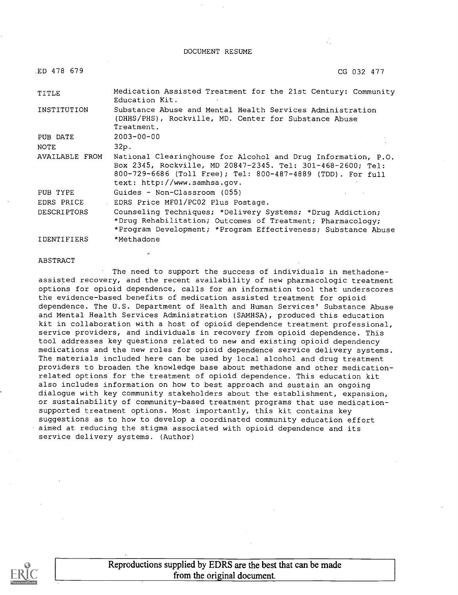DOCUMENT RESUME

| ED 478 679         | CG 032 477                                                                                                                                                                                                                  |
|--------------------|-----------------------------------------------------------------------------------------------------------------------------------------------------------------------------------------------------------------------------|
| TITLE              | Medication Assisted Treatment for the 21st Century: Community<br>Education Kit.                                                                                                                                             |
| INSTITUTION        | Substance Abuse and Mental Health Services Administration<br>(DHHS/PHS), Rockville, MD. Center for Substance Abuse<br>Treatment.                                                                                            |
| PUB DATE           | $2003 - 00 - 00$                                                                                                                                                                                                            |
| <b>NOTE</b>        | 32p.                                                                                                                                                                                                                        |
| AVAILABLE FROM     | National Clearinghouse for Alcohol and Drug Information, P.O.<br>Box 2345, Rockville, MD 20847-2345. Tel: 301-468-2600; Tel:<br>800-729-6686 (Toll Free); Tel: 800-487-4889 (TDD). For full<br>text: http://www.samhsa.gov. |
| PUB TYPE           | Guides - Non-Classroom (055)                                                                                                                                                                                                |
| EDRS PRICE         | EDRS Price MF01/PC02 Plus Postage.                                                                                                                                                                                          |
| <b>DESCRIPTORS</b> | Counseling Techniques; *Delivery Systems; *Drug Addiction;<br>*Drug Rehabilitation; Outcomes of Treatment; Pharmacology;<br>*Program Development; *Program Effectiveness; Substance Abuse                                   |
| <b>IDENTIFIERS</b> | *Methadone                                                                                                                                                                                                                  |

#### ABSTRACT

The need to support the success of individuals in methadoneassisted recovery, and the recent availability of new pharmacologic treatment options for opioid dependence, calls for an information tool that underscores the evidence-based benefits of medication assisted treatment for opioid dependence. The U.S. Department of Health and Human Services' Substance Abuse and Mental Health Services Administration (SAMHSA), produced this education kit in collaboration with a host of opioid dependence treatment professional, service providers, and individuals in recovery from opioid dependence. This tool addresses key questions related to new and existing opioid dependency medications and the new roles, for opioid dependence service delivery systems. The materials included here can be used by local alcohol and drug treatment providers to broaden the knowledge base about methadone and other medicationrelated options for the treatment of opioid dependence. This education kit also includes information on how to best approach and sustain an ongoing dialogue with key community stakeholders about the establishment, expansion, or sustainability of community-based treatment programs that use medicationsupported treatment options. Most importantly, this kit contains key suggestions as to how to develop a coordinated community education effort aimed at reducing the stigma associated with opioid dependence and its service delivery systems. (Author)

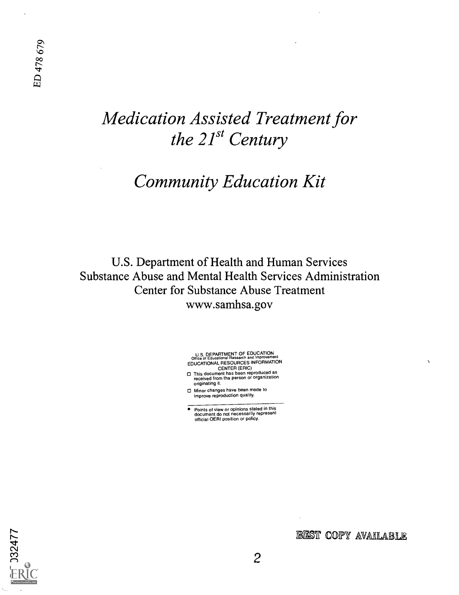## Medication Assisted Treatment for the  $21^{st}$  Century

## Community Education Kit

U.S. Department of Health and Human Services Substance Abuse and Mental Health Services Administration Center for Substance Abuse Treatment www.samhsa.gov

U.S. DEPARTMENT OF EDUCATION Office of Educational Research and Improvement EDUCATIONAL RESOURCES INFORMATION

- CENTER (ERIC) This document has been reproduced as received from the person or organization originating it.
- Minor changes have been made to improve reproduction quality.
- Points of view or opinions stated in this document do not necessarily represent official OERI position or policy.



#### 18ST COPY AVAILABLE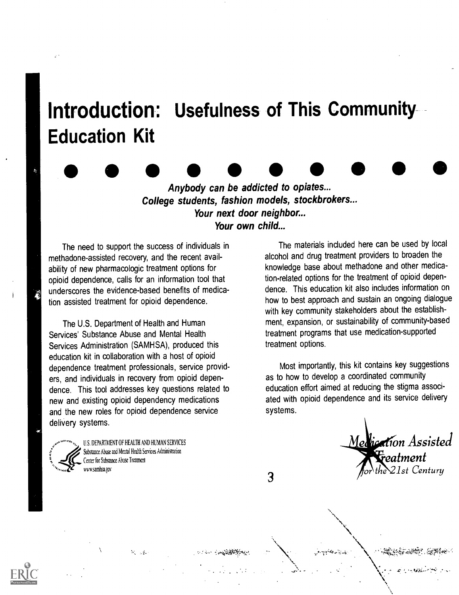# Introduction: Usefulness of This Community Education Kit

Anybody can be addicted to opiates... College students, fashion models, stockbrokers... Your next door neighbor... Your own child...

The need to support the success of individuals in methadone-assisted recovery, and the recent availability of new pharmacologic treatment options for opioid dependence, calls for an information tool that underscores the evidence-based benefits of medication assisted treatment for opioid dependence.

The U.S. Department of Health and Human Services' Substance Abuse and Mental Health Services Administration (SAMHSA), produced this education kit in collaboration with a host of opioid dependence treatment professionals, service providers, and individuals in recovery from opioid dependence. This tool addresses key questions related to new and existing opioid dependency medications and the new roles for opioid dependence service delivery systems.

U.S. DEPARTMENT OF HEALTH AND HUMAN SERVICES Substance Abuse and Mental Health Services Administration Center for Substance Abuse Treatment wn.samhsa.gov

 $\mathcal{M}_{\mathcal{L}_1,\mathcal{L}_2}$  ,  $\mathcal{L}_2$ 

The materials included here can be used by local alcohol and drug treatment providers to broaden the knowledge base about methadone and other medication-related options for the treatment of opioid dependence. This education kit also includes information on how to best approach and sustain an ongoing dialogue with key community stakeholders about the establishment, expansion, or sustainability of community-based treatment programs that use medication-supported treatment options.

Most importantly, this kit contains key suggestions as to how to develop a coordinated community education effort aimed at reducing the stigma associated with opioid dependence and its service delivery systems.

<u>Medication</u> Assisted eatment  $21$ st Century

3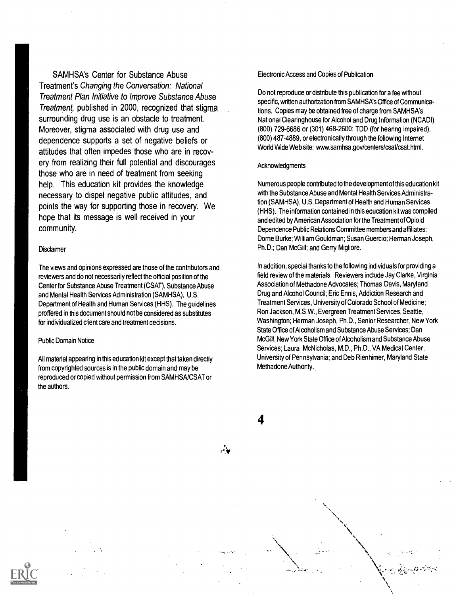SAMHSA's Center for Substance Abuse Treatment's Changing the Conversation: National Treatment Plan Initiative to Improve Substance Abuse Treatment, published in 2000, recognized that stigma surrounding drug use is an obstacle to treatment. Moreover, stigma associated with drug use and dependence supports a set of negative beliefs or attitudes that often impedes those who are in recovery from realizing their full potential and discourages those who are in need of treatment from seeking help. This education kit provides the knowledge necessary to dispel negative public attitudes, and points the way for supporting those in recovery. We hope that its message is well received in your community.

#### **Disclaimer**

The views and opinions expressed are those of the contributors and reviewers and do not necessarily reflect the official position of the Center for Substance Abuse Treatment (CSAT), Substance Abuse and Mental Health Services Administration (SAMHSA), U.S. Department of Health and Human Services (HHS). The guidelines proffered in this document should not be considered as substitutes for individualized client care and treatment decisions.

#### Public Domain Notice

All material appearing in this education kit except that taken directly from copyrighted sources is in the public domain and may be reproduced or copied without permission from SAMHSA/CSAT or the authors.

#### Electronic Access and Copies of Publication

Do not reproduce or distribute this publication for a fee without specific, written authorization from SAMHSA's Office of Communications. Copies may be obtained free of charge from SAMHSA's National Clearinghouse for Alcohol and Drug Information (NCADI), (800) 729-6686 or (301) 468-2600; TDD (for hearing impaired), (800) 487-4889, or electronically through the following Internet World Wide Web site: www.samhsa.gov/centers/csat/csat.html.

#### **Acknowledgments**

4

Numerous people contributed to the development of this education kit with the Substance Abuse and Mental Health Services Administration (SAMHSA), U.S. Department of Health and Human Services (HHS). The information contained in this education kit was compiled and edited by American Association for the Treatment of Opioid Dependence Public Relations Committee members and affiliates: Dorrie Burke; William Gouldman; Susan Guercio; Herman Joseph, Ph.D.; Dan McGill; and Gerry Migliore.

In addition, special thanks to the following individuals for providing a field review of the materials. Reviewers include Jay Clarke, Virginia Association of Methadone Advocates; Thomas Davis, Maryland Drug and Alcohol Council; Eric Ennis, Addiction Research and Treatment Services, University of Colorado School of Medicine; Ron Jackson, M.S.W., Evergreen Treatment Services, Seattle, Washington; Herman Joseph, Ph.D., Senior Researcher, New York State Office of Alcoholism and Substance Abuse Services; Dan McGill, New York State Office of Alcoholism and Substance Abuse Services; Laura McNicholas, M.D., Ph.D., VA Medical Center, University of Pennsylvania; and Deb Rienhimer, Maryland State Methadone Authority.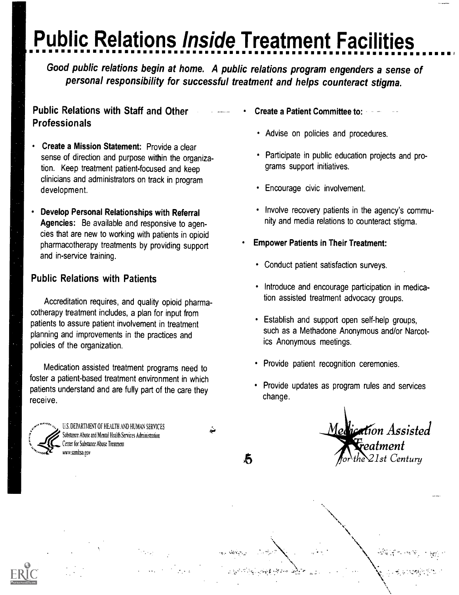## Public Relations Inside Treatment Facilities II <sup>I</sup>

Good public relations begin at home. A public relations program engenders a sense of personal responsibility for successful treatment and helps counteract stigma.

- .4"41,

方

## Public Relations with Staff and Other Professionals

- Create a Mission Statement: Provide a clear sense of direction and purpose within the organization. Keep treatment patient-focused and keep clinicians and administrators on track in program development.
- Develop Personal Relationships with Referral Agencies: Be available and responsive to agencies that are new to working with patients in opioid pharmacotherapy treatments by providing support and in-service training.

## Public Relations with Patients

Accreditation requires, and quality opioid pharmacotherapy treatment includes, a plan for input from patients to assure patient involvement in treatment planning and improvements in the practices and policies of the organization.

Medication assisted treatment programs need to foster a patient-based treatment environment in which patients understand and are fully part of the care they receive.



U.S. DEPARTMENT OF HEALTH AND HUMAN SERVICES Substance Abuse and Mental Health Services Administration Center for Substance Abuse Treatment mv.samhsa.gov

- Create a Patient Committee to:
	- Advise on policies and procedures.
	- Participate in public education projects and programs support initiatives.
	- Encourage civic involvement.
	- Involve recovery patients in the agency's community and media relations to counteract stigma.
- Empower Patients in Their Treatment:
	- Conduct patient satisfaction surveys.
	- Introduce and encourage participation in medication assisted treatment advocacy groups.
	- Establish and support open self-help groups, such as a Methadone Anonymous and/or Narcotics Anonymous meetings.
	- Provide patient recognition ceremonies.
	- Provide updates as program rules and services change.

Medication Assisted  $\frac{1}{T}$ eatment 21st Centuru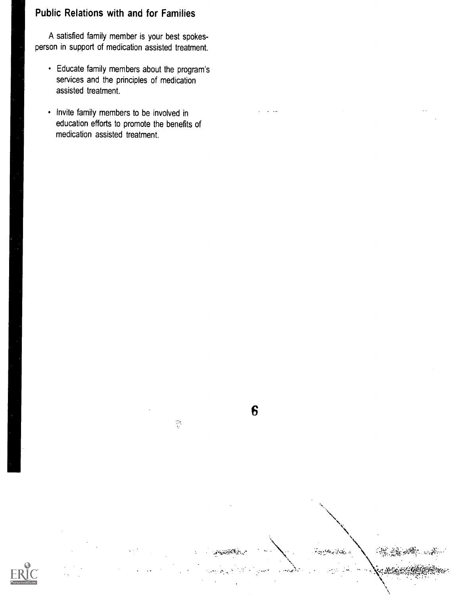## Public Relations with and for Families

A satisfied family member is your best spokesperson in support of medication assisted treatment.

- Educate family members about the program's services and the principles of medication assisted treatment.
- Invite family members to be involved in education efforts to promote the benefits of medication assisted treatment.



6

**For the Book** 

 $\frac{1}{2}$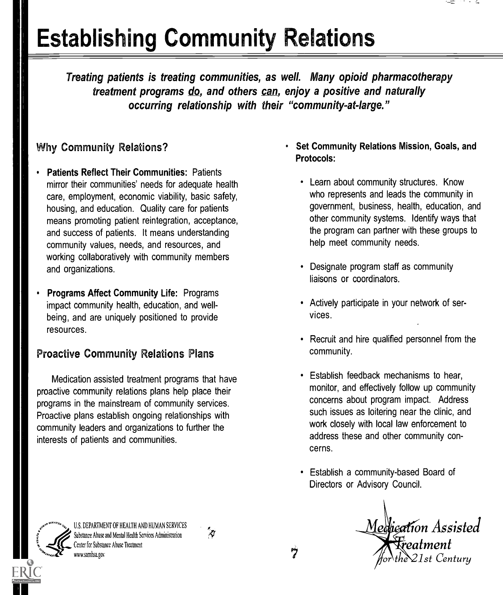# Establishing Community Relations

Treating patients is treating communities, as well. Many opioid pharmacotherapy treatment programs do, and others can, enjoy a positive and naturally occurring relationship with their "community-at-large."

## Why Community Relations?

- Patients Reflect Their Communities: Patients mirror their communities' needs for adequate health care, employment, economic viability, basic safety, housing, and education. Quality care for patients means promoting patient reintegration, acceptance, and success of patients. It means understanding community values, needs, and resources, and working collaboratively with community members and organizations.
- Programs Affect Community Life: Programs impact community health, education, and wellbeing, and are uniquely positioned to provide resources.

## Proactive Community Relations Plans

Medication assisted treatment programs that have proactive community relations plans help place their programs in the mainstream of community services. Proactive plans establish ongoing relationships with community leaders and organizations to further the interests of patients and communities.

### Set Community Relations Mission, Goals, and Protocols:

- Learn about community structures. Know who represents and leads the community in government, business, health, education, and other community systems. Identify ways that the program can partner with these groups to help meet community needs.
- Designate program staff as community liaisons or coordinators.
- Actively participate in your network of services.
- Recruit and hire qualified personnel from the community.
- Establish feedback mechanisms to hear, monitor, and effectively follow up community concerns about program impact. Address such issues as loitering near the clinic, and work closely with local law enforcement to address these and other community concerns.
- Establish a community-based Board of Directors or Advisory Council.

Medication Assisted Freatment  $21$ st Century

U.S. DEPARTMENT OF HEALTH AND HUMAN SERVICES<br>Substance Abuse and Mental Health Services Administration Substance Abuse and Mental Health Services Administration Center for Substance Abuse Treatment www.samhsa.gov

7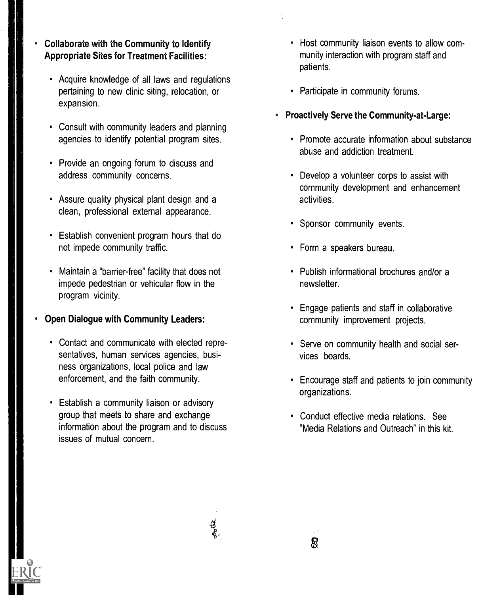- Collaborate with the Community to Identify Appropriate Sites for Treatment Facilities:
	- Acquire knowledge of all laws and regulations pertaining to new clinic siting, relocation, or expansion.
	- Consult with community leaders and planning agencies to identify potential program sites.
	- Provide an ongoing forum to discuss and address community concerns.
	- Assure quality physical plant design and a clean, professional external appearance.
	- Establish convenient program hours that do not impede community traffic.
	- Maintain a "barrier-free" facility that does not impede pedestrian or vehicular flow in the program vicinity.
- Open Dialogue with Community Leaders:
	- Contact and communicate with elected representatives, human services agencies, business organizations, local police and law enforcement, and the faith community.
	- Establish a community liaison or advisory group that meets to share and exchange information about the program and to discuss issues of mutual concern.
- Host community liaison events to allow community interaction with program staff and patients.
- Participate in community forums.
- Proactively Serve the Community-at-Large:
	- Promote accurate information about substance abuse and addiction treatment.
	- Develop a volunteer corps to assist with community development and enhancement activities.
	- Sponsor community events.
	- Form a speakers bureau.
	- Publish informational brochures and/or a newsletter.
	- Engage patients and staff in collaborative community improvement projects.
	- Serve on community health and social services boards.
	- Encourage staff and patients to join community organizations.
	- Conduct effective media relations. See "Media Relations and Outreach" in this kit.

8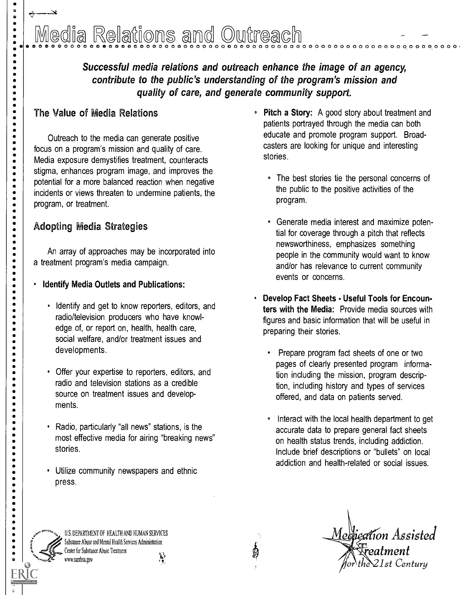# Relations and Outreach

Successful media relations and outreach enhance the image of an agency, contribute to the public's understanding of the program's mission and quality of care, and generate community support.

## The Value of Media Relations

p.  $\bullet$  $\bullet$  $\bullet$  $\bullet$  $\bullet$  $\bullet$ 

----------------

. . . . . . .

 $\ddot{\bullet}$ 

----<br>---

.....

 $\bullet$  $\bullet$  $\bullet$  $\ddot{\bullet}$  $\bullet$ 

Outreach to the media can generate positive focus on a program's mission and quality of care. Media exposure demystifies treatment, counteracts stigma, enhances program image, and improves the potential for a more balanced reaction when negative incidents or views threaten to undermine patients, the program, or treatment.

## Adopting Media Strategies

An array of approaches may be incorporated into a treatment program's media campaign.

- Identify Media Outlets and Publications:
	- Identify and get to know reporters, editors, and radio/television producers who have knowledge of, or report on, health, health care, social welfare, and/or treatment issues and developments.
	- Offer your expertise to reporters, editors, and radio and television stations as a credible source on treatment issues and developments.
	- Radio, particularly "all news" stations, is the most effective media for airing "breaking news" stories.
	- Utilize community newspapers and ethnic press.
		- U.S. DEPARTMENT OF HEALTH AND HUMAN SERVICES Substance Abuse and Mental Health Services Administration Center for Substance Abuse Treatment  $\mathbf{v}$ wv.samhsa.gov
- Pitch a Story: A good story about treatment and patients portrayed through the media can both educate and promote program support. Broadcasters are looking for unique and interesting stories.
	- The best stories tie the personal concerns of the public to the positive activities of the program.
	- Generate media interest and maximize potential for coverage through a pitch that reflects newsworthiness, emphasizes something people in the community would want to know and/or has relevance to current community events or concerns.
- Develop Fact Sheets Useful Tools for Encounters with the Media: Provide media sources with figures and basic information that will be useful in preparing their stories.
	- Prepare program fact sheets of one or two pages of clearly presented program information including the mission, program description, including history and types of services offered, and data on patients served.
	- Interact with the local health department to get accurate data to prepare general fact sheets on health status trends, including addiction. Include brief descriptions or "bullets" on local addiction and health-related or social issues.

Medpeation Assisted  $\bar{\bar{\textbf{\textit{r}}} }$ eatment  $\lambda$ 1 $\geq$ 1st Century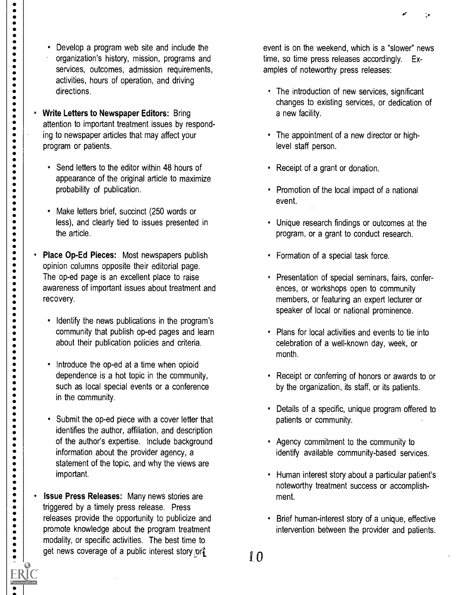Develop a program web site and include the organization's history, mission, programs and services, outcomes, admission requirements, activities, hours of operation, and driving directions.

 $\bullet$ 

 $\begin{array}{c} \bullet \\ \bullet \\ \bullet \\ \bullet \end{array}$ 

 $\bullet$ 

.......

-------<br>-----

- Write Letters to Newspaper Editors: Bring attention to important treatment issues by responding to newspaper articles that may affect your program or patients.
	- Send letters to the editor within 48 hours of appearance of the original article to maximize probability of publication.
	- Make letters brief, succinct (250 words or less), and clearly tied to issues presented in the article.
- Place Op-Ed Pieces: Most newspapers publish opinion columns opposite their editorial page. The op-ed page is an excellent place to raise awareness of important issues about treatment and recovery.
	- Identify the news publications in the program's community that publish op-ed pages and learn about their publication policies and criteria.
	- Introduce the op-ed at a time when opioid dependence is a hot topic in the community, such as local special events or a conference in the community.
	- Submit the op-ed piece with a cover letter that identifies the author, affiliation, and description of the author's expertise. Include background information about the provider agency, a statement of the topic, and why the views are important.
- $\bullet$ Issue Press Releases: Many news stories are triggered by a timely press release. Press releases provide the opportunity to publicize and promote knowledge about the program treatment modality, or specific activities. The best time to get news coverage of a public interest story or  $\mathbf{10}$

event is on the weekend, which is a "slower" news time, so time press releases accordingly. Examples of noteworthy press releases:

- The introduction of new services, significant changes to existing services, or dedication of a new facility.
- The appointment of a new director or highlevel staff person.
- Receipt of a grant or donation.
- Promotion of the local impact of a national event.
- Unique research findings or outcomes at the program, or a grant to conduct research.
- Formation of a special task force.
- Presentation of special seminars, fairs, conferences, or workshops open to community members, or featuring an expert lecturer or speaker of local or national prominence.
- Plans for local activities and events to tie into celebration of a well-known day, week, or month.
- Receipt or conferring of honors or awards to or by the organization, its staff, or its patients.
- Details of a specific, unique program offered to patients or community.
- Agency commitment to the community to identify available community-based services.
- Human interest story about a particular patient's noteworthy treatment success or accomplishment.
- Brief human-interest story of a unique, effective intervention between the provider and patients.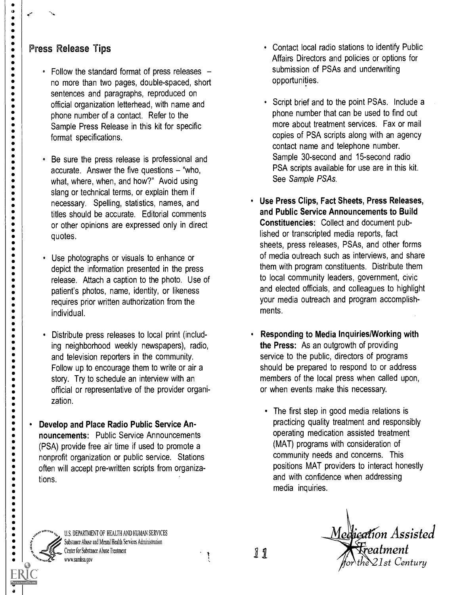## Press Release Tips

 $\begin{array}{c} \bullet \\ \circ \\ \bullet \\ \bullet \end{array}$ 

----------

 $\bullet$  $\bullet$ 

-----<br>----

 $\bullet$ 

. . . . . . . .

---------

 $\bullet$ 

-------<br>-----

.................................

 $\begin{array}{c} \bullet \\ \bullet \\ \bullet \end{array}$ 

- Follow the standard format of press releases no more than two pages, double-spaced, short sentences and paragraphs, reproduced on official organization letterhead, with name and phone number of a contact. Refer to the Sample Press Release in this kit for specific format specifications.
- Be sure the press release is professional and accurate. Answer the five questions  $-$  "who, what, where, when, and how?" Avoid using slang or technical terms, or explain them if necessary. Spelling, statistics, names, and titles should be accurate. Editorial comments or other opinions are expressed only in direct quotes.
- Use photographs or visuals to enhance or depict the information presented in the press release. Attach a caption to the photo. Use of patient's photos, name, identity, or likeness requires prior written authorization from the individual.
- Distribute press releases to local print (including neighborhood weekly newspapers), radio, and television reporters in the community. Follow up to encourage them to write or air a story. Try to schedule an interview with an official or representative of the provider organization.
- Develop and Place Radio Public Service Announcements: Public Service Announcements (PSA) provide free air time if used to promote a nonprofit organization or public service. Stations often will accept pre-written scripts from organizations.
- Contact local radio stations to identify Public Affairs Directors and policies or options for submission of PSAs and underwriting opportunities.
- Script brief and to the point PSAs. Include a phone number that can be used to find out more about treatment services. Fax or mail copies of PSA scripts along with an agency contact name and telephone number. Sample 30-second and 15-second radio PSA scripts available for use are in this kit. See Sample PSAs.
- Use Press Clips, Fact Sheets, Press Releases, and Public Service Announcements to Build Constituencies: Collect and document published or transcripted media reports, fact sheets, press releases, PSAs, and other forms of media outreach such as interviews, and share them with program constituents. Distribute them to local community leaders, government, civic and elected officials, and colleagues to highlight your media outreach and program accomplishments.
- Responding to Media Inquiries/Working with the Press: As an outgrowth of providing service to the public, directors of programs should be prepared to respond to or address members of the local press when called upon, or when events make this necessary.
	- The first step in good media relations is practicing quality treatment and responsibly operating medication assisted treatment (MAT) programs with consideration of community needs and concerns. This positions MAT providers to interact honestly and with confidence when addressing media inquiries.

f d

U.S. DEPARTMENT OF HEALTH AND HUMAN SERVICES Substance Abuse and Mental Health Services Administration Center for Substance Abuse Treatment www.samhsa.gov

11

Medication Assisted eatment  $\gamma$  the  $21$ st Century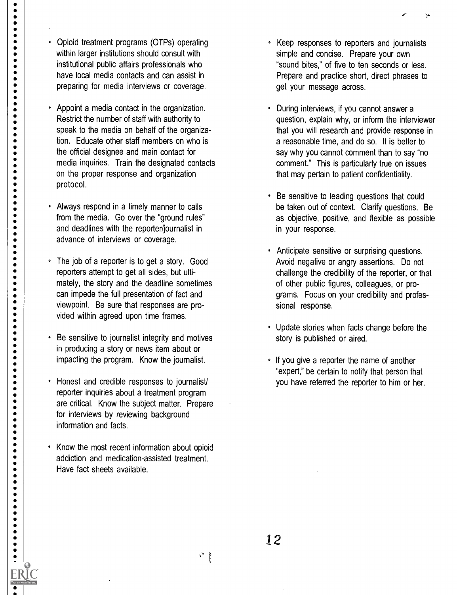Ø

 $12$ 

- information and facts. • Know the most recent information about opioid addiction and medication-assisted treatment.
- Honest and credible responses to journalist/ reporter inquiries about a treatment program are critical. Know the subject matter. Prepare

for interviews by reviewing background

Have fact sheets available.

- in producing a story or news item about or impacting the program. Know the journalist.
- can impede the full presentation of fact and viewpoint. Be sure that responses are provided within agreed upon time frames. Be sensitive to journalist integrity and motives
- The job of a reporter is to get a story. Good reporters attempt to get all sides, but ultimately, the story and the deadline sometimes
- from the media. Go over the "ground rules" and deadlines with the reporter/journalist in advance of interviews or coverage.
- on the proper response and organization protocol. Always respond in a timely manner to calls
- the official designee and main contact for media inquiries. Train the designated contacts
- Appoint a media contact in the organization. Restrict the number of staff with authority to speak to the media on behalf of the organization. Educate other staff members on who is

Opioid treatment programs (OTPs) operating within larger institutions should consult with institutional public affairs professionals who have local media contacts and can assist in preparing for media interviews or coverage.

 $\bullet$  $\bullet$  $\bullet$  $\bullet$  $\bullet$ 

 $\bullet$  $\bullet$  $\bullet$  $\bullet$  $\bullet$  $\bullet$  $\bullet$  $\bullet$  $\bullet$  $\bullet$  $\bullet$  $\bullet$  $\bullet$  $\bullet$  $\bullet$  $\bullet$  $\ddot{\bullet}$  $\ddot{\bullet}$  $\bullet$  $\bullet$  $\bullet$  $\bullet$ 

 $\bullet$  $\bullet$  $\bullet$  $\bullet$  $\bullet$  $\ddot{\bullet}$  $\ddot{\bullet}$  $\bullet$  $\bullet$  $\bullet$  $\bullet$  $\bullet$  $\bullet$  $\bullet$  $\bullet$  $\bullet$  $\bullet$  $\bullet$  $\bullet$  $\bullet$  $\ddot{\bullet}$  $\bullet$  $\bullet$  $\bullet$  $\bullet$  $\bullet$  $\bullet$  $\ddot{\bullet}$  $\bullet$  $\bullet$  $\bullet$  $\bullet$  $\bullet$  $\bullet$  $\bullet$  $\bullet$  $\bullet$  $\bullet$  $\bullet$  $\bullet$ 

--------

 $\bullet$ 

- Keep responses to reporters and journalists simple and concise. Prepare your own "sound bites," of five to ten seconds or less. Prepare and practice short, direct phrases to get your message across.
- During interviews, if you cannot answer a question, explain why, or inform the interviewer that you will research and provide response in a reasonable time, and do so. It is better to say why you cannot comment than to say "no comment." This is particularly true on issues that may pertain to patient confidentiality.
- Be sensitive to leading questions that could be taken out of context. Clarify questions. Be as objective, positive, and flexible as possible in your response.
- Anticipate sensitive or surprising questions. Avoid negative or angry assertions. Do not challenge the credibility of the reporter, or that of other public figures, colleagues, or programs. Focus on your credibility and professional response.
- Update stories when facts change before the story is published or aired.
- If you give a reporter the name of another "expert," be certain to notify that person that you have referred the reporter to him or her.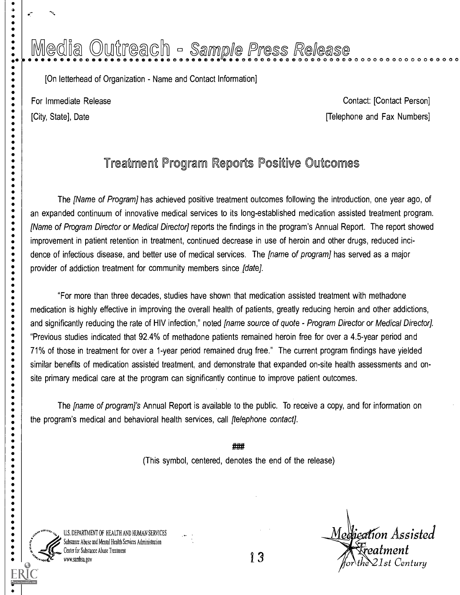# Media Outreach - Sample Press Release

[On letterhead of Organization - Name and Contact Information]

......

 $\bullet$ 

**.....** 

. . . . . . . .

-----<br>----

 $\bullet$  $\bullet$ 

 $\ddot{\bullet}$  $\bullet$  $\bullet$  $\bullet$  $\bullet$  $\bullet$ 

 $\bullet$  $\bullet$  For Immediate Release Contact: [Contact: [Contact: For Immediate Release [City, State], Date **[Telephone and Fax Numbers]** 

## Treatment Program Reports Positive Outcomes

The [Name of Program] has achieved positive treatment outcomes following the introduction, one year ago, of an expanded continuum of innovative medical services to its long-established medication assisted treatment program. [Name of Program Director or Medical Director] reports the findings in the program's Annual Report. The report showed improvement in patient retention in treatment, continued decrease in use of heroin and other drugs, reduced incidence of infectious disease, and better use of medical services. The *[name of program]* has served as a major provider of addiction treatment for community members since [date].

"For more than three decades, studies have shown that medication assisted treatment with methadone medication is highly effective in improving the overall health of patients, greatly reducing heroin and other addictions, and significantly reducing the rate of HIV infection," noted *[name source of quote - Program Director or Medical Director]*. "Previous studies indicated that 92.4% of methadone patients remained heroin free for over a 4.5-year period and 71% of those in treatment for over a 1-year period remained drug free." The current program findings have yielded similar benefits of medication assisted treatment, and demonstrate that expanded on-site health assessments and onsite primary medical care at the program can significantly continue to improve patient outcomes.

The *[name of program]'s* Annual Report is available to the public. To receive a copy, and for information on the program's medical and behavioral health services, call [telephone contact].

> ### (This symbol, centered, denotes the end of the release)



U.S. DEPARTMENT OF HEALTH AND HUMAN SERVICES Substance Abuse and Mental Health Services Administration Center for Substance Abuse Treatment wsamhsa.gov

Medication Assisted  $\frac{1}{4}$  reatment  $\sum_{\text{for the 21st Century}}$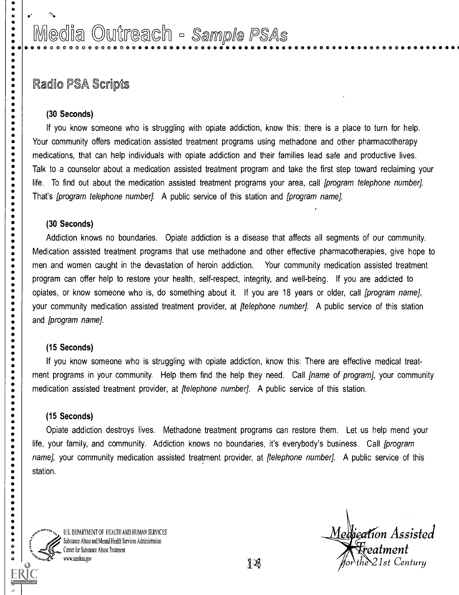## Media Outreach - Sample PSAs 0 0 0 0 0 0 0 0 0 0 0 0 0 0 0 0 0 to 0 0 e 0 0 0 0 0 0 II 0 CD e 0 0 0 0 0 0

## Radio PSA Scripts

#### (30 Seconds)

 $\begin{array}{cc} \bullet & \bullet \\ \bullet & \bullet \end{array}$ 

 $\begin{array}{c} \bullet \\ \bullet \\ \bullet \\ \bullet \end{array}$ 

 $\bullet$ 

-------<br>-----

 $\begin{array}{c} \bullet \\ \bullet \\ \bullet \\ \bullet \end{array}$ 

----------------

 $\bullet$  $\bullet$  $\ddot{\bullet}$ 

 $\begin{array}{c} \bullet \\ \bullet \\ \bullet \\ \bullet \end{array}$ 

 $\ddot{\bullet}$ 

 $\begin{array}{c} \bullet \\ \bullet \\ \bullet \\ \bullet \end{array}$ 

 $\ddot{\bullet}$  $\ddot{\bullet}$  $\ddot{\bullet}$  $\bullet$ 

-----<br>----

 $\bullet$  $\ddot{\bullet}$  $\ddot{\bullet}$  $\ddot{\bullet}$  $\bullet$  $\bullet$  $\bullet$  $\ddot{\bullet}$  $\bullet$  $\bullet$  $\bullet$  $\bullet$  $\bullet$  $\ddot{\bullet}$  $\bullet$  $\bullet$  $\bullet$  $\bullet$  $\bullet$ 

If you know someone who is struggling with opiate addiction, know this: there is a place to turn for help. Your community offers medication assisted treatment programs using methadone and other pharmacotherapy medications, that can help individuals with opiate addiction and their families lead safe and productive lives. Talk to a counselor about a medication assisted treatment program and take the first step toward reclaiming your life. To find out about the medication assisted treatment programs your area, call [program telephone number]. That's *[program telephone number]*. A public service of this station and *[program name]*.

#### (30 Seconds)

Addiction knows no boundaries. Opiate addiction is a disease that affects all segments of our community. Medication assisted treatment programs that use methadone and other effective pharmacotherapies, give hope to men and women caught in the devastation of heroin addiction. Your community medication assisted treatment program can offer help to restore your health, self-respect, integrity, and well-being. If you are addicted to opiates, or know someone who is, do something about it. If you are 18 years or older, call [program name], your community medication assisted treatment provider, at *[telephone number]*. A public service of this station and [program name].

#### (15 Seconds)

If you know someone who is struggling with opiate addiction, know this: There are effective medical treatment programs in your community. Help them find the help they need. Call *fname of program]*, your community medication assisted treatment provider, at *[telephone number]*. A public service of this station.

#### (15 Seconds)

Opiate addiction destroys lives. Methadone treatment programs can restore them. Let us help mend your life, your family, and community. Addiction knows no boundaries, it's everybody's business. Call *[program* name], your community medication assisted treatment provider, at *[telephone number*]. A public service of this station.



US, DEPARTMENT OF HEALTH AND HUMAN SERVICES Substance Abuse and Mental Health Services Administration Center for Substance Abuse Treatment www.samhsa.gov

Medication Assisted  $\displaystyle \,$  Freatment  $the \& 21st$  Century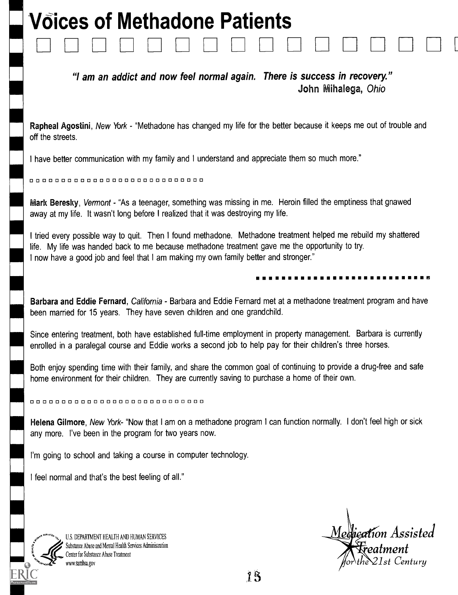# V6ices of Methadone Patients

"I am an addict and now feel normal again. There is success in recovery." John Mihalega, Ohio

Rapheal Agostini, New York - "Methadone has changed my life for the better because it keeps me out of trouble and off the streets.

I have better communication with my family and I understand and appreciate them so much more."

00000000000000000000000000000

Mark Beresky, Vermont - "As a teenager, something was missing in me. Heroin filled the emptiness that gnawed away at my life. It wasn't long before I realized that it was destroying my life.

I tried every possible way to quit. Then I found methadone. Methadone treatment helped me rebuild my shattered life. My life was handed back to me because methadone treatment gave me the opportunity to try. I now have a good job and feel that I am making my own family better and stronger."

#### El

Barbara and Eddie Fernard, California - Barbara and Eddie Fernard met at a methadone treatment program and have been married for 15 years. They have seven children and one grandchild.

Since entering treatment, both have established full-time employment in property management. Barbara is currently enrolled in a paralegal course and Eddie works a second job to help pay for their children's three horses.

Both enjoy spending time with their family, and share the common goal of continuing to provide a drug-free and safe home environment for their children. They are currently saving to purchase a home of their own.

00000000000000000000000000000

Helena Gilmore, New York- "Now that I am on a methadone program I can function normally. I don't feel high or sick any more. I've been in the program for two years now.

I'm going to school and taking a course in computer technology.

I feel normal and that's the best feeling of all."



U.S, DEPARTMENT HEALTH AND HUMAN SERVICES Substance Abuse and Mental Health Services Administration Center for Substance Abuse Treatment

U.S. DEPARTMENT HEALTH AND HUMAN SERVICES<br>Substance Abuse and Mental Health Services Administration<br>Center for Substance Abuse Treatment<br>www.sambsa.gov<br>www.sambsa.gov **Treatment**<br>the 21st Century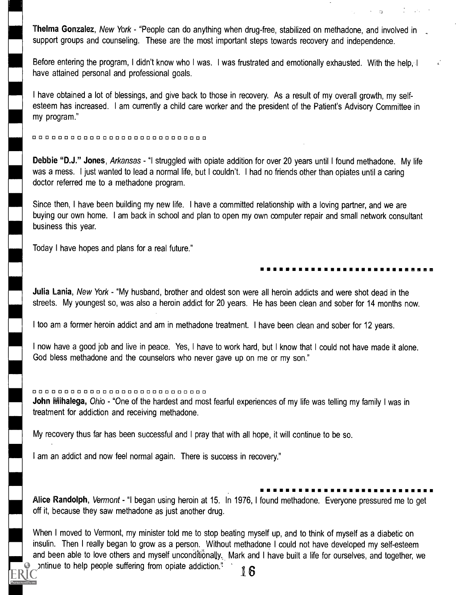Thelma Gonzalez, New York - "People can do anything when drug-free, stabilized on methadone, and involved in support groups and counseling. These are the most important steps towards recovery and independence.

Before entering the program, I didn't know who I was. I was frustrated and emotionally exhausted. With the help, I have attained personal and professional goals.

I have obtained a lot of blessings, and give back to those in recovery. As a result of my overall growth, my selfesteem has increased. I am currently a child care worker and the president of the Patient's Advisory Committee in my program."

0 0 0 0 0 0 0 0 0 0 0 0 0 0 0 0 0 0 0 0 0 0 0 0 0 0 0 0

Debbie "D.J." Jones, Arkansas - "I struggled with opiate addition for over 20 years until I found methadone. My life was a mess. I just wanted to lead a normal life, but I couldn't. I had no friends other than opiates until a caring doctor referred me to a methadone program.

Since then, I have been building my new life. I have a committed relationship with a loving partner, and we are buying our own home. I am back in school and plan to open my own computer repair and small network consultant business this year.

Today I have hopes and plans for a real future."

#### II II III III <sup>111</sup> II II

Julia Lania, New York - "My husband, brother and oldest son were all heroin addicts and were shot dead in the streets. My youngest so, was also a heroin addict for 20 years. He has been clean and sober for 14 months now.

I too am a former heroin addict and am in methadone treatment. I have been clean and sober for 12 years.

I now have a good job and live in peace. Yes, I have to work hard, but I know that I could not have made it alone. God bless methadone and the counselors who never gave up on me or my son."

#### 0 0 0 0 0 0 0 0 0 0 0 0 0 0 0 0 0 0 0 0 0 0 0 0 0 0 0 0

John Mihalega, Ohio - "One of the hardest and most fearful experiences of my life was telling my family I was in treatment for addiction and receiving methadone.

My recovery thus far has been successful and I pray that with all hope, it will continue to be so.

I am an addict and now feel normal again. There is success in recovery."

## Alice Randolph, Vermont - "I began using heroin at 15. In 1976, I found methadone. Everyone pressured me to get off it, because they saw methadone as just another drug.

When I moved to Vermont, my minister told me to stop beating myself up, and to think of myself as a diabetic on insulin. Then I really began to grow as a person. Without methadone I could not have developed my self-esteem and been able to love others and myself unconditionally. Mark and I have built a life for ourselves, and together, we ontinue to help people suffering from opiate addiction."  $\cdot$  16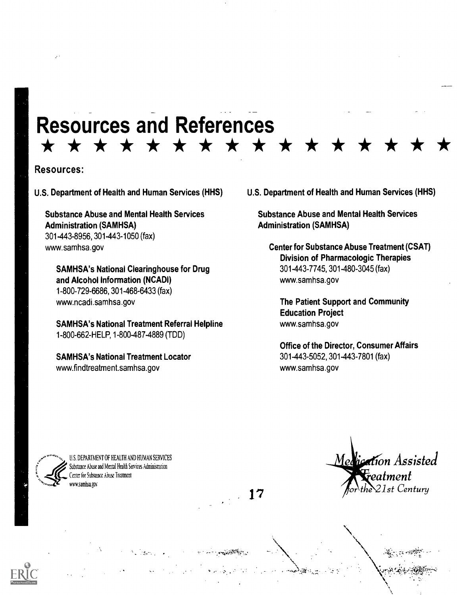## Resources and References \* \* \* \* \* \* \* \* \* \* \* \*

 $\sim 17$ 

#### Resources:

U.S. Department of Health and Human Services (HHS)

Substance Abuse and Mental Health Services Administration (SAMHSA) 301-443-8956, 301-443-1050 (fax) www.samhsa.gov

SAMHSA's National Clearinghouse for Drug and Alcohol Information (NCADI) 1-800-729-6686, 301-468-6433 (fax) www.ncadi.samhsa.gov

SAMHSA's National Treatment Referral Helpline 1-800-662-HELP, 1-800-487-4889 (TDD)

SAMHSA's National Treatment Locator www.findtreatment.samhsa.gov

U.S. Department of Health and Human Services (HHS)

Substance Abuse and Mental Health Services Administration (SAMHSA)

Center for Substance Abuse Treatment (CSAT) Division of Pharmacologic Therapies 301-443-7745, 301-480-3045 (fax) www.samhsa.gov

The Patient Support and Community Education Project www.samhsa.gov

Office of the Director, Consumer Affairs 301-443-5052, 301-443-7801 (fax) www.samhsa.gov



U.S. DEPARTMENT OF HEALTH AND HUMAN SERVICES Substance Abuse and Mental Health Services Administration Center for Substance Abuse Treatment ww.sambsagav

Medication Assisted eatment  $21$ st Century

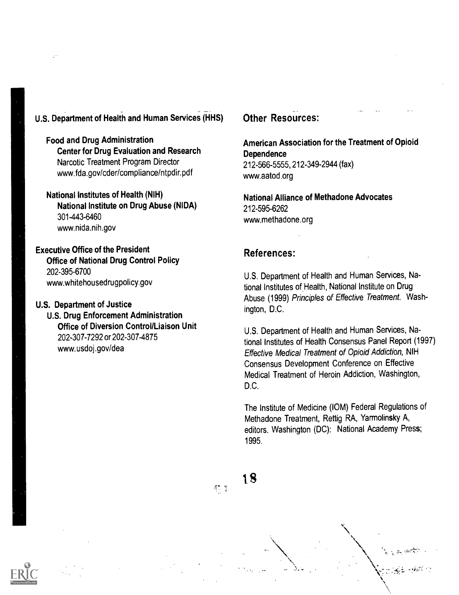## U.S. Department of Health and Human Services (HHS)

Food and Drug Administration Center for Drug Evaluation and Research Narcotic Treatment Program Director www.fda.gov/cder/compliance/ntpdir.pdf

#### National Institutes of Health (NIH) National Institute on Drug Abuse (NIDA) 301-443-6460 www.nida.nih.gov

Executive Office of the President Office of National Drug Control Policy 202-395-6700 www.whitehousedrugpolicy.gov

#### U.S. Department of Justice

U.S. Drug Enforcement Administration Office of Diversion Control/Liaison Unit 202-307-7292 or 202-307-4875 www.usdoj.gov/dea

### Other Resources:

#### American Association for the Treatment of Opioid **Dependence** 212-566-5555, 212-349-2944 (fax)

www.aatod.org

National Alliance of Methadone Advocates 212-595-6262 www.methadone.org

### References:

U.S. Department of Health and Human Services, National Institutes of Health, National Institute on Drug Abuse (1999) Principles of Effective Treatment. Washington, D.C.

U.S. Department of Health and Human Services, National Institutes of Health Consensus Panel Report (1997) Effective Medical Treatment of Opioid Addiction, NIH Consensus Development Conference on Effective Medical Treatment of Heroin Addiction, Washington, D.C.

The Institute of Medicine (IOM) Federal Regulations of Methadone Treatment, Rettig RA, Yarmolinsky A, editors. Washington (DC): National Academy Press; 1995.

 $35\%$ 

18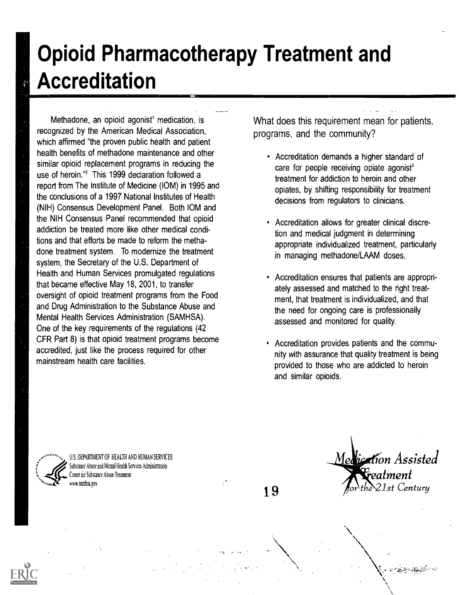# Opioid Pharmacotherapy Treatment and Accreditation

Methadone, an opioid agonist<sup>1</sup> medication, is recognized by the American Medical Association, which affirmed "the proven public health and patient health benefits of methadone maintenance and other similar opioid replacement programs in reducing the use of heroin."<sup>2</sup> This 1999 declaration followed a report from The Institute of Medicine (IOM) in 1995 and the conclusions of a 1997 National Institutes of Health (NIH) Consensus Development Panel. Both 10M and the NIH Consensus Panel recommended that opioid addiction be treated more like other medical conditions and that efforts be made to reform the methadone treatment system. To modernize the treatment system, the Secretary of the U.S. Department of Health and Human Services promulgated regulations that became effective May 18, 2001, to transfer oversight of opioid treatment programs from the Food and Drug Administration to the Substance Abuse and Mental Health Services Administration (SAMHSA). One of the key requirements of the regulations (42 CFR Part 8) is that opioid treatment programs become accredited, just like the process required for other mainstream health care facilities.

What does this requirement mean for patients, programs, and the community?

- Accreditation demands a higher standard of care for people receiving opiate agonist<sup>3</sup> treatment for addiction to heroin and other opiates, by shifting responsibility for treatment decisions from regulators to clinicians.
- Accreditation allows for greater clinical discretion and medical judgment in determining appropriate individualized treatment, particularly in managing methadone/LAAM doses.
- Accreditation ensures that patients are appropriately assessed and matched to the right treatment, that treatment is individualized, and that the need for ongoing care is professionally assessed and monitored for quality.
- Accreditation provides patients and the community with assurance that quality treatment is being provided to those who are addicted to heroin and similar opioids.

U.S, DEPARTMENT OF HEALTH AND HUMAN SERVICES Substance Abuse and Mental Health Services Administration enter for Substance Abuse Treatment wv.sambsa.gov

19

Medication Assisted eatment 21st Century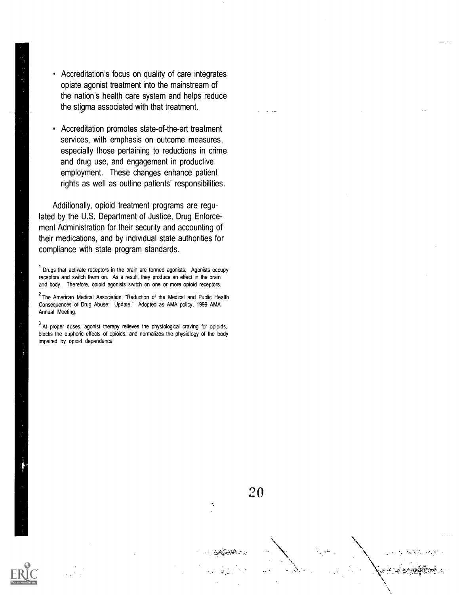- Accreditation's focus on quality of care integrates opiate agonist treatment into the mainstream of the nation's health care system and helps reduce the stigma associated with that treatment.
- Accreditation promotes state-of-the-art treatment  $\bullet$ services, with emphasis on outcome measures, especially those pertaining to reductions in crime and drug use, and engagement in productive employment. These changes enhance patient rights as well as outline patients' responsibilities.

Additionally, opioid treatment programs are regulated by the U.S. Department of Justice, Drug Enforcement Administration for their security and accounting of their medications, and by individual state authorities for compliance with state program standards.

 $1$  Drugs that activate receptors in the brain are termed agonists. Agonists occupy receptors and switch them on. As a result, they produce an effect in the brain and body. Therefore, opioid agonists switch on one or more opioid receptors.

 $<sup>2</sup>$  The American Medical Association, "Reduction of the Medical and Public Health</sup> Consequences of Drug Abuse: Update," Adopted as AMA policy, 1999 AMA Annual Meeting.

 $3$  At proper doses, agonist therapy relieves the physiological craving for opioids, blocks the euphoric effects of opioids, and normalizes the physiology of the body impaired by opioid dependence.

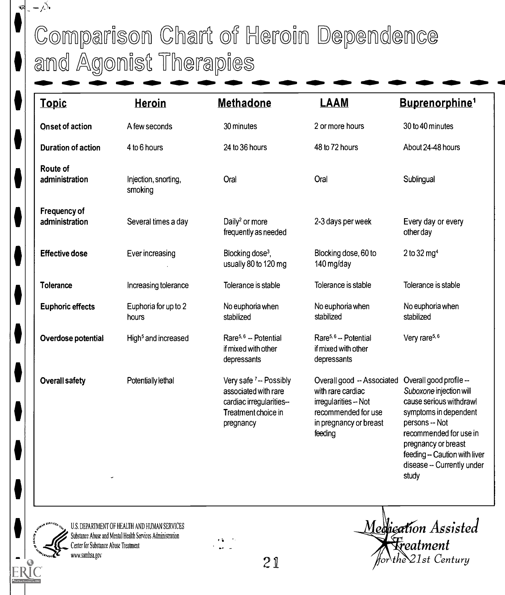# Comparison Chart of Heroin Dependence and Agonist Therapies

| <b>Topic</b>                   | <b>Heroin</b>                   | <b>Methadone</b>                                                                                              | <b>LAAM</b>                                                                                                                          | Buprenorphine <sup>1</sup>                                                                                                                                                                                                                        |
|--------------------------------|---------------------------------|---------------------------------------------------------------------------------------------------------------|--------------------------------------------------------------------------------------------------------------------------------------|---------------------------------------------------------------------------------------------------------------------------------------------------------------------------------------------------------------------------------------------------|
| <b>Onset of action</b>         | A few seconds                   | 30 minutes                                                                                                    | 2 or more hours                                                                                                                      | 30 to 40 minutes                                                                                                                                                                                                                                  |
| <b>Duration of action</b>      | 4 to 6 hours                    | 24 to 36 hours                                                                                                | 48 to 72 hours                                                                                                                       | About 24-48 hours                                                                                                                                                                                                                                 |
| Route of<br>administration     | Injection, snorting,<br>smoking | Oral                                                                                                          | Oral                                                                                                                                 | Sublingual                                                                                                                                                                                                                                        |
| Frequency of<br>administration | Several times a day             | Daily <sup>2</sup> or more<br>frequently as needed                                                            | 2-3 days per week                                                                                                                    | Every day or every<br>other day                                                                                                                                                                                                                   |
| <b>Effective dose</b>          | Ever increasing                 | Blocking dose <sup>3</sup> ,<br>usually 80 to 120 mg                                                          | Blocking dose, 60 to<br>140 mg/day                                                                                                   | 2 to 32 mg <sup>4</sup>                                                                                                                                                                                                                           |
| <b>Tolerance</b>               | Increasing tolerance            | Tolerance is stable                                                                                           | Tolerance is stable                                                                                                                  | Tolerance is stable                                                                                                                                                                                                                               |
| <b>Euphoric effects</b>        | Euphoria for up to 2<br>hours   | No euphoria when<br>stabilized                                                                                | No euphoria when<br>stabilized                                                                                                       | No euphoria when<br>stabilized                                                                                                                                                                                                                    |
| Overdose potential             | High <sup>5</sup> and increased | Rare <sup>5,6</sup> - Potential<br>if mixed with other<br>depressants                                         | Rare <sup>5,6</sup> -- Potential<br>if mixed with other<br>depressants                                                               | Very rare <sup>5, 6</sup>                                                                                                                                                                                                                         |
| <b>Overall safety</b>          | Potentially lethal              | Very safe 7-- Possibly<br>associated with rare<br>cardiac irregularities-<br>Treatment choice in<br>pregnancy | Overall good -- Associated<br>with rare cardiac<br>irregularities -- Not<br>recommended for use<br>in pregnancy or breast<br>feeding | Overall good profile --<br>Suboxone injection will<br>cause serious withdrawl<br>symptoms in dependent<br>persons -- Not<br>recommended for use in<br>pregnancy or breast<br>feeding -- Caution with liver<br>disease -- Currently under<br>study |

U.S. DEPARTMENT OF HEALTH AND HUMAN SERVICES Substance Abuse and Mental Health Services Administration Center for Substance Abuse Treatment

ERIC

 $-\sum$ 

 $\widehat{\mathbf{v}}$  $\overline{a}$ 



Medication Assisted  $\bigl\{\begin{matrix} \mp \end{matrix}$  Freatment  $the$  21st Century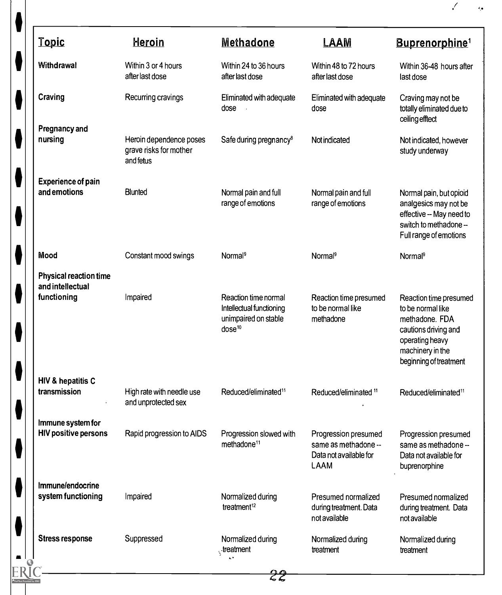| <b>Topic</b>                                      | <b>Heroin</b>                                                  | <b>Methadone</b>                                                                               | LAAM                                                                                  | <b>Buprenorphine</b> <sup>1</sup>                                                                                                                      |
|---------------------------------------------------|----------------------------------------------------------------|------------------------------------------------------------------------------------------------|---------------------------------------------------------------------------------------|--------------------------------------------------------------------------------------------------------------------------------------------------------|
| Withdrawal                                        | Within 3 or 4 hours<br>after last dose                         | Within 24 to 36 hours<br>after last dose                                                       | Within 48 to 72 hours<br>after last dose                                              | Within 36-48 hours after<br>last dose                                                                                                                  |
| Craving                                           | Recurring cravings                                             | Eliminated with adequate<br>dose<br>$\sim$                                                     | Eliminated with adequate<br>dose                                                      | Craving may not be<br>totally eliminated due to<br>ceiling efftect                                                                                     |
| <b>Pregnancy and</b><br>nursing                   | Heroin dependence poses<br>grave risks for mother<br>and fetus | Safe during pregnancy <sup>8</sup>                                                             | Not indicated                                                                         | Not indicated, however<br>study underway                                                                                                               |
| <b>Experience of pain</b><br>and emotions         | <b>Blunted</b>                                                 | Normal pain and full                                                                           | Normal pain and full                                                                  | Normal pain, but opioid                                                                                                                                |
|                                                   |                                                                | range of emotions                                                                              | range of emotions                                                                     | analgesics may not be<br>effective -- May need to<br>switch to methadone --<br>Full range of emotions                                                  |
| Mood                                              | Constant mood swings                                           | Normal <sup>9</sup>                                                                            | Normal <sup>9</sup>                                                                   | Normal <sup>9</sup>                                                                                                                                    |
| <b>Physical reaction time</b><br>and intellectual |                                                                |                                                                                                |                                                                                       |                                                                                                                                                        |
| functioning                                       | Impaired                                                       | Reaction time normal<br>Intellectual functioning<br>unimpaired on stable<br>dose <sup>10</sup> | Reaction time presumed<br>to be normal like<br>methadone                              | Reaction time presumed<br>to be normal like<br>methadone. FDA<br>cautions driving and<br>operating heavy<br>machinery in the<br>beginning of treatment |
| HIV & hepatitis C                                 |                                                                |                                                                                                |                                                                                       |                                                                                                                                                        |
| transmission                                      | High rate with needle use<br>and unprotected sex               | Reduced/eliminated <sup>11</sup>                                                               | Reduced/eliminated <sup>11</sup>                                                      | Reduced/eliminated <sup>11</sup>                                                                                                                       |
| Immune system for<br><b>HIV positive persons</b>  | Rapid progression to AIDS                                      | Progression slowed with<br>methadone <sup>11</sup>                                             | Progression presumed<br>same as methadone --<br>Data not available for<br><b>LAAM</b> | Progression presumed<br>same as methadone --<br>Data not available for<br>buprenorphine                                                                |
| Immune/endocrine                                  |                                                                |                                                                                                |                                                                                       |                                                                                                                                                        |
| system functioning                                | Impaired                                                       | Normalized during<br>treatment <sup>12</sup>                                                   | Presumed normalized<br>during treatment. Data<br>not available                        | Presumed normalized<br>during treatment. Data<br>not available                                                                                         |
| <b>Stress response</b>                            | Suppressed                                                     | Normalized during<br>$\cdot$ treatment                                                         | Normalized during<br>treatment                                                        | Normalized during<br>treatment                                                                                                                         |

 $\bullet$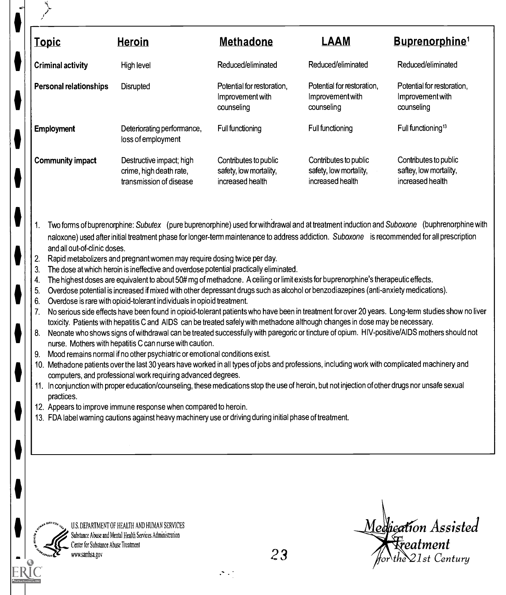| <u>Topic</u>                                               | <u>Heroin</u>                                                                                                                                                                                                                                                                                                                                                                                                                                                                                                                                                                                                                                                                                                                                                                                                                                                                                                                                                                                                                                                                                                                                                                                                                                                                                                                                                                                                                                                                                        | <b>Methadone</b>                                                    | <b>LAAM</b>                                                         | Buprenorphine <sup>1</sup>                                                                                                                        |
|------------------------------------------------------------|------------------------------------------------------------------------------------------------------------------------------------------------------------------------------------------------------------------------------------------------------------------------------------------------------------------------------------------------------------------------------------------------------------------------------------------------------------------------------------------------------------------------------------------------------------------------------------------------------------------------------------------------------------------------------------------------------------------------------------------------------------------------------------------------------------------------------------------------------------------------------------------------------------------------------------------------------------------------------------------------------------------------------------------------------------------------------------------------------------------------------------------------------------------------------------------------------------------------------------------------------------------------------------------------------------------------------------------------------------------------------------------------------------------------------------------------------------------------------------------------------|---------------------------------------------------------------------|---------------------------------------------------------------------|---------------------------------------------------------------------------------------------------------------------------------------------------|
| <b>Criminal activity</b>                                   | High level                                                                                                                                                                                                                                                                                                                                                                                                                                                                                                                                                                                                                                                                                                                                                                                                                                                                                                                                                                                                                                                                                                                                                                                                                                                                                                                                                                                                                                                                                           | Reduced/eliminated                                                  | Reduced/eliminated                                                  | Reduced/eliminated                                                                                                                                |
| Personal relationships                                     | Disrupted                                                                                                                                                                                                                                                                                                                                                                                                                                                                                                                                                                                                                                                                                                                                                                                                                                                                                                                                                                                                                                                                                                                                                                                                                                                                                                                                                                                                                                                                                            | Potential for restoration,<br>Improvement with<br>counseling        | Potential for restoration,<br>Improvement with<br>counseling        | Potential for restoration,<br>Improvement with<br>counseling                                                                                      |
| <b>Employment</b>                                          | Deteriorating performance,<br>loss of employment                                                                                                                                                                                                                                                                                                                                                                                                                                                                                                                                                                                                                                                                                                                                                                                                                                                                                                                                                                                                                                                                                                                                                                                                                                                                                                                                                                                                                                                     | Full functioning                                                    | Full functioning                                                    | Full functioning <sup>13</sup>                                                                                                                    |
| <b>Community impact</b>                                    | Destructive impact; high<br>crime, high death rate,<br>transmission of disease                                                                                                                                                                                                                                                                                                                                                                                                                                                                                                                                                                                                                                                                                                                                                                                                                                                                                                                                                                                                                                                                                                                                                                                                                                                                                                                                                                                                                       | Contributes to public<br>safety, low mortality,<br>increased health | Contributes to public<br>safety, low mortality,<br>increased health | Contributes to public<br>saftey, low mortality,<br>increased health                                                                               |
| 2.<br>3.<br>4.<br>5.<br>6.<br>7.<br>8.<br>9.<br>practices. | Rapid metabolizers and pregnant women may require dosing twice per day.<br>The dose at which heroin is ineffective and overdose potential practically eliminated.<br>The highest doses are equivalent to about 50# mg of methadone. A ceiling or limit exists for buprenorphine's therapeutic effects.<br>Overdose potential is increased if mixed with other depressant drugs such as alcohol or benzodiazepines (anti-anxiety medications).<br>Overdose is rare with opioid-tolerant individuals in opioid treatment.<br>toxicity. Patients with hepatitis C and AIDS can be treated safely with methadone although changes in dose may be necessary.<br>Neonate who shows signs of withdrawal can be treated successfully with paregoric or tincture of opium. HIV-positive/AIDS mothers should not<br>nurse. Mothers with hepatitis C can nurse with caution.<br>Mood remains normal if no other psychiatric or emotional conditions exist.<br>10. Methadone patients over the last 30 years have worked in all types of jobs and professions, including work with complicated machinery and<br>computers, and professional work requiring advanced degrees.<br>11. In conjunction with proper education/counseling, these medications stop the use of heroin, but not injection of other drugs nor unsafe sexual<br>12. Appears to improve immune response when compared to heroin.<br>13. FDA label warning cautions against heavy machinery use or driving during initial phase of treatment. |                                                                     |                                                                     | No serious side effects have been found in opioid-tolerant patients who have been in treatment for over 20 years. Long-term studies show no liver |
| Center for Substance Abuse Treatment<br>www.samhsa.gov     | U.S. DEPARTMENT OF HEALTH AND HUMAN SERVICES<br>Substance Abuse and Mental Health Services Administration                                                                                                                                                                                                                                                                                                                                                                                                                                                                                                                                                                                                                                                                                                                                                                                                                                                                                                                                                                                                                                                                                                                                                                                                                                                                                                                                                                                            | 23                                                                  |                                                                     | Medication Assisted<br>Freatment<br>for the 21st Century                                                                                          |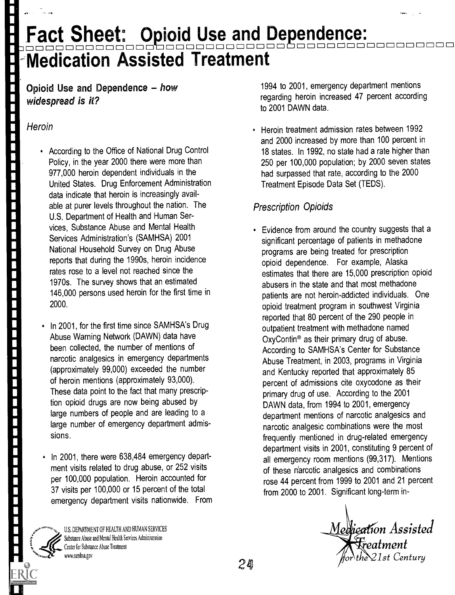## Fact Sheet: Opioid Use and Dependence: Fact Sheet: Opioid Use and Dependence:<br>Dependence: Accided Treatment -Medication Assisted Treatment

## Opioid Use and Dependence  $-$  how widespread is it?

## **Heroin**

医子宫性脊髓痨病 医骨盆的 医血管性 医血管性 医血管性 医心包 医血管性 医血管性 医血管性 医血管

- According to the Office of National Drug Control Policy, in the year 2000 there were more than 977,000 heroin dependent individuals in the United States. Drug Enforcement Administration data indicate that heroin is increasingly available at purer levels throughout the nation. The U.S. Department of Health and Human Services, Substance Abuse and Mental Health Services Administration's (SAMHSA) 2001 National Household Survey on Drug Abuse reports that during the 1990s, heroin incidence rates rose to a level not reached since the 1970s. The survey shows that an estimated 146,000 persons used heroin for the first time in 2000.
- In 2001, for the first time since SAMHSA's Drug Abuse Warning Network (DAWN) data have been collected, the number of mentions of narcotic analgesics in emergency departments (approximately 99,000) exceeded the number of heroin mentions (approximately 93,000). These data point to the fact that many prescription opioid drugs are now being abused by large numbers of people and are leading to a large number of emergency department admissions.
- In 2001, there were 638,484 emergency department visits related to drug abuse, or 252 visits per 100,000 population. Heroin accounted for 37 visits per 100,000 or 15 percent of the total emergency department visits nationwide. From

U.S. DEPARTMENT OF HEALTH AND HUMAN SERVICES Substance Abuse and Mental Health Services Administration Center for Substance Abuse Treatment ... . ww.samhsa.gov

1994 to 2001, emergency department mentions regarding heroin increased 47 percent according to 2001 DAWN data.

Heroin treatment admission rates between 1992 and 2000 increased by more than 100 percent in 18 states. In 1992, no state had a rate higher than 250 per 100,000 population; by 2000 seven states had surpassed that rate, according to the 2000 Treatment Episode Data Set (TEDS).

## Prescription Opioids

Evidence from around the country suggests that a significant percentage of patients in methadone programs are being treated for prescription opioid dependence. For example, Alaska estimates that there are 15,000 prescription opioid abusers in the state and that most methadone patients are not heroin-addicted individuals. One opioid treatment program in southwest Virginia reported that 80 percent of the 290 people in outpatient treatment with methadone named OxyContin® as their primary drug of abuse. According to SAMHSA's Center for Substance Abuse Treatment, in 2003, programs in Virginia and Kentucky reported that approximately 85 percent of admissions cite oxycodone as their primary drug of use. According to the 2001 DAWN data, from 1994 to 2001, emergency department mentions of narcotic analgesics and narcotic analgesic combinations were the most frequently mentioned in drug-related emergency department visits in 2001, constituting 9 percent of all emergency room mentions (99,317). Mentions of these n'arcotic analgesics and combinations rose 44 percent from 1999 to 2001 and 21 percent from 2000 to 2001. Significant long-term in-

Medication Assisted <del>.</del><br>Treatment  $2$ 1st Century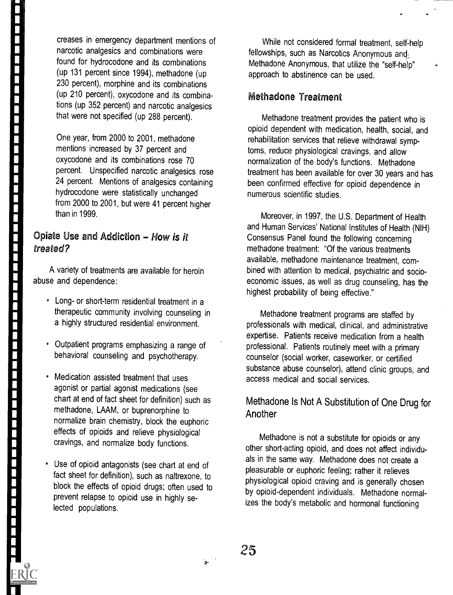a kata sa sa sa sa

ista se se se significa de la compagnia de la compagnia de la compagnia de la co

creases in emergency department mentions of narcotic analgesics and combinations were found for hydrocodone and its combinations (up 131 percent since 1994), methadone (up 230 percent), morphine and its combinations (up 210 percent), oxycodone and its combinations (up 352 percent) and narcotic analgesics that were not specified (up 288 percent).

One year, from 2000 to 2001, methadone mentions increased by 37 percent and oxycodone and its combinations rose 70 percent. Unspecified narcotic analgesics rose 24 percent. Mentions of analgesics containing hydrocodone were statistically unchanged from 2000 to 2001, but were 41 percent higher than in 1999.

## Opiate Use and Addiction  $-$  How is it treated?

A variety of treatments are available for heroin abuse and dependence:

- Long- or short-term residential treatment in a therapeutic community involving counseling in a highly structured residential environment.
- Outpatient programs emphasizing a range of behavioral counseling and psychotherapy.
- Medication assisted treatment that uses agonist or partial agonist medications (see chart at end of fact sheet for definition) such as methadone, LAAM, or buprenorphine to normalize brain chemistry, block the euphoric effects of opioids and relieve physiological cravings, and normalize body functions.
- Use of opioid antagonists (see chart at end of fact sheet for definition), such as naltrexone, to block the effects of opioid drugs; often used to prevent relapse to opioid use in highly selected populations.

While not considered formal treatment, self-help fellowships, such as Narcotics Anonymous and: Methadone Anonymous, that utilize the "self-help" approach to abstinence can be used.

## Methadone Treatment

Methadone treatment provides the patient who is opioid dependent with medication, health, social, and rehabilitation services that relieve withdrawal symptoms, reduce physiological cravings, and allow normalization of the body's functions. Methadone treatment has been available for over 30 years and has been confirmed effective for opioid dependence in numerous scientific studies.

Moreover, in 1997, the U.S. Department of Health and Human Services' National Institutes of Health (NIH) Consensus Panel found the following concerning methadone treatment: "Of the various treatments available, methadone maintenance treatment, combined with attention to medical, psychiatric and socioeconomic issues, as well as drug counseling, has the highest probability of being effective."

Methadone treatment programs are staffed by professionals with medical, clinical, and administrative expertise. Patients receive medication from a health professional. Patients routinely meet with a primary counselor (social worker, caseworker, or certified substance abuse counselor), attend clinic groups, and access medical and social services.

## Methadone Is Not A Substitution of One Drug for Another

Methadone is not a substitute for opioids or any other short-acting opioid, and does not affect individuals in the same way. Methadone does not create a pleasurable or euphoric feeling; rather it relieves physiological opioid craving and is generally chosen by opioid-dependent individuals. Methadone normalizes the body's metabolic and hormonal functioning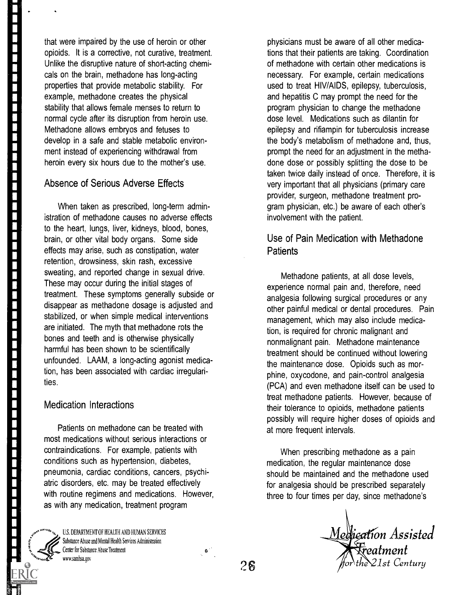that were impaired by the use of heroin or other opioids. It is a corrective, not curative, treatment. Unlike the disruptive nature of short-acting chemicals on the brain, methadone has long-acting properties that provide metabolic stability. For example, methadone creates the physical stability that allows female menses to return to normal cycle after its disruption from heroin use. Methadone allows embryos and fetuses to develop in a safe and stable metabolic environment instead of experiencing withdrawal from heroin every six hours due to the mother's use.

## Absence of Serious Adverse Effects

When taken as prescribed, long-term administration of methadone causes no adverse effects to the heart, lungs, liver, kidneys, blood, bones, brain, or other vital body organs. Some side effects may arise, such as constipation, water retention, drowsiness, skin rash, excessive sweating, and reported change in sexual drive. These may occur during the initial stages of treatment. These symptoms generally subside or disappear as methadone dosage is adjusted and stabilized, or when simple medical interventions are initiated. The myth that methadone rots the bones and teeth and is otherwise physically harmful has been shown to be scientifically unfounded. LAAM, a long-acting agonist medication, has been associated with cardiac irregularities.

#### Medication Interactions

Patients on methadone can be treated with most medications without serious interactions or contraindications. For example, patients with conditions such as hypertension, diabetes, pneumonia, cardiac conditions, cancers, psychiatric disorders, etc. may be treated effectively with routine regimens and medications. However, as with any medication, treatment program

U.S. DEPARTMENT OF HEALTH AND HUMAN SERVICES Substance Abuse and Mental Health Services Administration Center for Substance Abuse Treatment www.samiha.gov  $2\mathbf{6}$ 

physicians must be aware of all other medications that their patients are taking. Coordination of methadone with certain other medications is necessary. For example, certain medications used to treat HIV/AIDS, epilepsy, tuberculosis, and hepatitis C may prompt the need for the program physician to change the methadone dose level. Medications such as dilantin for epilepsy and rifiampin for tuberculosis increase the body's metabolism of methadone and, thus, prompt the need for an adjustment in the methadone dose or possibly splitting the dose to be taken twice daily instead of once. Therefore, it is very important that all physicians (primary care provider, surgeon, methadone treatment program physician, etc.) be aware of each other's involvement with the patient.

## Use of Pain Medication with Methadone **Patients**

Methadone patients, at all dose levels, experience normal pain and, therefore, need analgesia following surgical procedures or any other painful medical or dental procedures. Pain management, which may also include medication, is required for chronic malignant and nonmalignant pain. Methadone maintenance treatment should be continued without lowering the maintenance dose. Opioids such as morphine, oxycodone, and pain-control analgesia (PCA) and even methadone itself can be used to treat methadone patients. However, because of their tolerance to opioids, methadone patients possibly will require higher doses of opioids and at more frequent intervals.

When prescribing methadone as a pain medication, the regular maintenance dose should be maintained and the methadone used for analgesia should be prescribed separately three to four times per day, since methadone's

Medication Assisted **Freatment**<br>he 21st Century  $\omega$ 'or $\lambda$ the $\chi$ 21st Century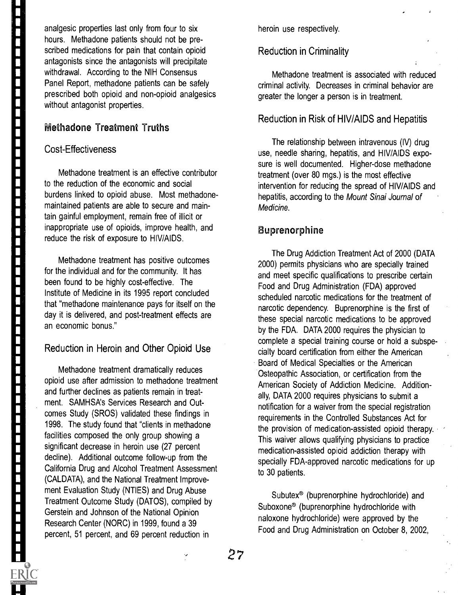analgesic properties last only from four to six hours. Methadone patients should not be prescribed medications for pain that contain opioid antagonists since the antagonists will precipitate withdrawal. According to the NIH Consensus Panel Report, methadone patients can be safely prescribed both opioid and non-opioid analgesics without antagonist properties.

## **Methadone Treatment Truths**

### Cost-Effectiveness

Methadone treatment is an effective contributor to the reduction of the economic and social burdens linked to opioid abuse. Most methadonemaintained patients are able to secure and maintain gainful employment, remain free of illicit or inappropriate use of opioids, improve health, and reduce the risk of exposure to HIV/AIDS.

Methadone treatment has positive outcomes for the individual and for the community. It has been found to be highly cost-effective. The Institute of Medicine in its 1995 report concluded that "methadone maintenance pays for itself on the day it is delivered, and post-treatment effects are an economic bonus."

## Reduction in Heroin and Other Opioid Use

Methadone treatment dramatically reduces opioid use after admission to methadone treatment and further declines as patients remain in treatment. SAMHSA's Services Research and Outcomes Study (SROS) validated these findings in 1998. The study found that "clients in methadone facilities composed the only group showing a significant decrease in heroin use (27 percent decline). Additional outcome follow-up from the California Drug and Alcohol Treatment Assessment (CALDATA), and the National Treatment Improvement Evaluation Study (NTIES) and Drug Abuse Treatment Outcome Study (DATOS), compiled by Gerstein and Johnson of the National Opinion Research Center (NORC) in 1999, found a 39 percent, 51 percent, and 69 percent reduction in

heroin use respectively.

### Reduction in Criminality

Methadone treatment is associated with reduced criminal activity. Decreases in criminal behavior are greater the longer a person is in treatment.

#### Reduction in Risk of HIV/AIDS and Hepatitis

The relationship between intravenous (IV) drug use, needle sharing, hepatitis, and HIV/AIDS exposure is well documented. Higher-dose methadone treatment (over 80 mgs.) is the most effective intervention for reducing the spread of HIV/AIDS and hepatitis, according to the Mount Sinai Journal of Medicine.

## Buprenorphine

The Drug Addiction Treatment Act of 2000 (DATA 2000) permits physicians who are specially trained and meet specific qualifications to prescribe certain Food and Drug Administration (FDA) approved scheduled narcotic medications for the treatment of narcotic dependency. Buprenorphine is the first of these special narcotic medications to be approved by the FDA. DATA 2000 requires the physician to complete a special training course or hold a subspecialty board certification from either the American Board of Medical Specialties or the American Osteopathic Association, or certification from the American Society of Addiction Medicine. Additionally, DATA 2000 requires physicians to submit a notification for a waiver from the special registration requirements in the Controlled Substances Act for the provision of medication-assisted opioid therapy. This waiver allows qualifying physicians to practice medication-assisted opioid addiction therapy with specially FDA-approved narcotic medications for up to 30 patients.

Subutex® (buprenorphine hydrochloride) and Suboxone® (buprenorphine hydrochloride with naloxone hydrochloride) were approved by the Food and Drug Administration on October 8, 2002,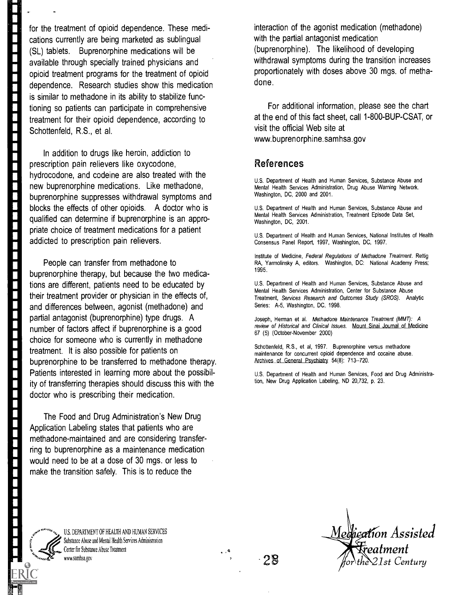for the treatment of opioid dependence. These medications currently are being marketed as sublingual (SL) tablets. Buprenorphine medications will be available through specially trained physicians and opioid treatment programs for the treatment of opioid dependence. Research studies show this medication is similar to methadone in its ability to stabilize functioning so patients can participate in comprehensive treatment for their opioid dependence, according to Schottenfeld, R.S., et al.

In addition to drugs like heroin, addiction to prescription pain relievers like oxycodone, hydrocodone, and codeine are also treated with the new buprenorphine medications. Like methadone, buprenorphine suppresses withdrawal symptoms and blocks the effects of other opioids. A doctor who is qualified can determine if buprenorphine is an appropriate choice of treatment medications for a patient addicted to prescription pain relievers.

People can transfer from methadone to buprenorphine therapy, but because the two medications are different, patients need to be educated by their treatment provider or physician in the effects of, and differences between, agonist (methadone) and partial antagonist (buprenorphine) type drugs. A number of factors affect if buprenorphine is a good choice for someone who is currently in methadone treatment. It is also possible for patients on buprenorphine to be transferred to methadone therapy. Patients interested in learning more about the possibility of transferring therapies should discuss this with the doctor who is prescribing their medication.

The Food and Drug Administration's New Drug Application Labeling states that patients who are methadone-maintained and are considering transferring to buprenorphine as a maintenance medication would need to be at a dose of 30 mgs. or less to make the transition safely. This is to reduce the

interaction of the agonist medication (methadone) with the partial antagonist medication (buprenorphine). The likelihood of developing withdrawal symptoms during the transition increases proportionately with doses above 30 mgs. of methadone.

For additional information, please see the chart at the end of this fact sheet, call 1-800-BUP-CSAT, or visit the official Web site at www.buprenorphine.samhsa.gov

## References

U.S. Department of Health and Human Services, Substance Abuse and Mental Health Services Administration, Drug Abuse Warning Network. Washington, DC, 2000 and 2001.

U.S. Department of Health and Human Services, Substance Abuse and Mental Health Services Administration, Treatment Episode Data Set, Washington, DC, 2001.

U.S. Department of Health and Human Services, National Institutes of Health Consensus Panel Report, 1997, Washington, DC, 1997.

Institute of Medicine, Federal Regulations of Methadone Treatment. Rettig RA, Yarmolinsky A, editors. Washington, DC: National Academy Press; 1995.

U.S. Department of Health and Human Services, Substance Abuse and Mental Health Services Administration, Center for Substance Abuse Treatment, Services Research and Outcomes Study (SROS). Analytic Series: A-5, Washington, DC, 1998.

Joseph, Herman et al. Methadone Maintenance Treatment (MMT): A review of Historical and Clinical Issues. Mount Sinai Journal of Medicine 67 (5) (October-November 2000)

Schottenfeld, R.S., et al, 1997. Buprenorphine versus methadone maintenance for concurrent opioid dependence and cocaine abuse. Archives of General Psychiatry 54(8): 713--720.

U.S. Department of Health and Human Services, Food and Drug Administration, New Drug Application Labeling, ND 20,732, p. 23.



For the company of the company of the company of the company of the company of the company of the company of the company of the company of the company of the company of the company of the company of the company of the comp

F

F

E

U.S. DEPARTMENT OF HEALTH AND HUMAN SERVICES Substance Abuse and Mental Health Services Administration Center for Substance Abuse Treatment www.samhsa.got

28 Medication Assisted eatment 1st Century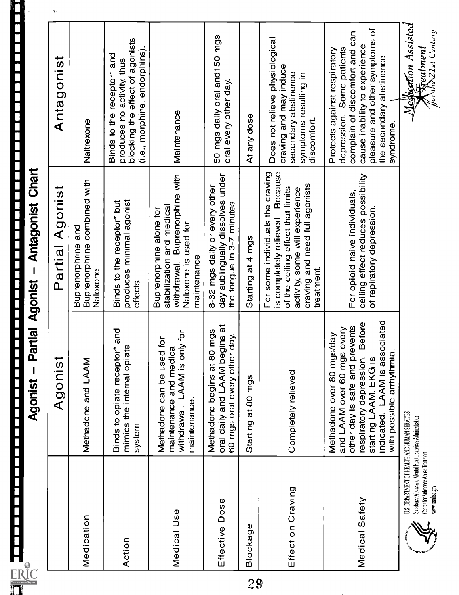|          |                                                                                                                                                                     | Partial Agonist -<br>Agonist                                                                                                                                                                                                    | <b>Antagonist Chart</b>                                                                                                                                                                    | <u> Wiener andere der Frankrischen Barber (Frankrischen Berger der Frankrischen Barber († 1888)</u><br>1990 – Paris Agonist – Paris Adonist – Antagonist Chart                                            |    |
|----------|---------------------------------------------------------------------------------------------------------------------------------------------------------------------|---------------------------------------------------------------------------------------------------------------------------------------------------------------------------------------------------------------------------------|--------------------------------------------------------------------------------------------------------------------------------------------------------------------------------------------|-----------------------------------------------------------------------------------------------------------------------------------------------------------------------------------------------------------|----|
|          |                                                                                                                                                                     | Agonist                                                                                                                                                                                                                         | Agonist<br>Partial                                                                                                                                                                         | Antagonist                                                                                                                                                                                                | ъ. |
|          | Medication                                                                                                                                                          | Methadone and LAAM                                                                                                                                                                                                              | Buprenorphrine combined with<br>Buprenorphrine and<br>Naloxone                                                                                                                             | Naltrexone                                                                                                                                                                                                |    |
|          | Action                                                                                                                                                              | Binds to opiate receptor* and<br>mimics the internal opiate<br>system                                                                                                                                                           | produces minimal agonist<br>Binds to the receptor* but<br>effects                                                                                                                          | blocking the effect of agonists<br>(i.e., morphine, endorphins).<br>Binds to the receptor* and<br>produces no activity, thus                                                                              |    |
|          | Medical Use                                                                                                                                                         | withdrawal. LAAM is only for<br>$\overline{5}$<br>maintenance and medical<br>Methadone can be used<br>maintenance.                                                                                                              | withdrawal. Buprenorphine with<br>stabilization and medical<br>Buprenorphine alone for<br>Naloxone is used for<br>maintenance.                                                             | Maintenance                                                                                                                                                                                               |    |
|          | Effective Dose                                                                                                                                                      | oral daily and LAAM begins at<br>mgs<br>day.<br>Methadone begins at 80<br>60 mgs oral every other                                                                                                                               | day sublingually dissolves under<br>8-32 mgs daily or every other<br>the tongue in 3-7 minutes.                                                                                            | 50 mgs daily oral and 150 mgs<br>oral every other day.                                                                                                                                                    |    |
| $\Omega$ | Blockage                                                                                                                                                            | Starting at 80 mgs                                                                                                                                                                                                              | Starting at 4 mgs                                                                                                                                                                          | At any dose                                                                                                                                                                                               |    |
|          | Effect on Craving                                                                                                                                                   | Completely relieved                                                                                                                                                                                                             | is completely relieved. Because<br>For some individuals the craving<br>craving and need full agonists<br>of the ceiling effect that limits<br>activity, some will experience<br>treatment. | Does not relieve physiological<br>craving and may induce<br>secondary abstinence<br>symptoms resulting in<br>discomfort.                                                                                  |    |
|          | Medical Safety                                                                                                                                                      | indicated. LAAM is associated<br><b>Before</b><br>other day is safe and prevents<br>every<br>Methadone over 80 mgs/day<br>with possible arrhythmia.<br>and LAAM over 60 mgs<br>respiratory depression.<br>starting LAAM, EKG is | ceiling effect reduces possibility<br>For opioid naive individuals,<br>of repiratory depression.                                                                                           | pleasure and other symptoms of<br>complain of discomfort and can<br>cause inability to experience<br>Some patients<br>Protects against respiratory<br>the secondary abstinence<br>depression.<br>syndrome |    |
|          | U.S. DEPARTMENT OF HEALTH AND HUMAN SERVICES<br>Substance Abuse and Mental Health Services Administration<br>Center for Substance Abuse Treatment<br>www.samhsa.gov |                                                                                                                                                                                                                                 |                                                                                                                                                                                            | Medigetion Assisted<br><b>Kreatment</b><br>forthe21st Century                                                                                                                                             |    |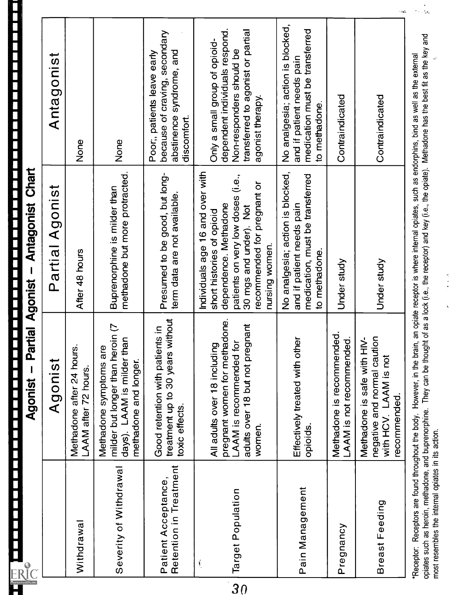|   | さらら<br>5<br>I thanniet<br>I<br>ç<br>Ä<br>l<br>ļ<br>ij                               |  |
|---|-------------------------------------------------------------------------------------|--|
|   | and the contract of the contract of the contract of the contract of the contract of |  |
|   |                                                                                     |  |
| l |                                                                                     |  |

| <b>ERIC</b>                                        | Agonist                                                                                                                                                                                                                                                                                                                                                       | Partial Agonist - Antagonist Chart                                                                                                                                                                     |                                                                                                                                                      |
|----------------------------------------------------|---------------------------------------------------------------------------------------------------------------------------------------------------------------------------------------------------------------------------------------------------------------------------------------------------------------------------------------------------------------|--------------------------------------------------------------------------------------------------------------------------------------------------------------------------------------------------------|------------------------------------------------------------------------------------------------------------------------------------------------------|
|                                                    | Agonist                                                                                                                                                                                                                                                                                                                                                       | Partial Agonist                                                                                                                                                                                        | Antagonist                                                                                                                                           |
| Withdrawal                                         | Methadone after 24 hours<br>LAAM after 72 hours.                                                                                                                                                                                                                                                                                                              | After 48 hours                                                                                                                                                                                         | None                                                                                                                                                 |
| Severity of Withdrawal                             | milder but longer than heroin (7<br>days). LAAM is milder than<br>Methadone symptoms are<br>methadone and longer.                                                                                                                                                                                                                                             | methadone but more protracted.<br>Buprenorphine is milder than                                                                                                                                         | None                                                                                                                                                 |
| Retention in Treatment<br>Patient Acceptance,      | without<br>Good retention with patients in<br>treatment up to 30 years<br>toxic effects.                                                                                                                                                                                                                                                                      | Presumed to be good, but long-<br>term data are not available.                                                                                                                                         | because of craving, secondary<br>abstinence syndrome, and<br>Poor, patients leave early<br>discomfort.                                               |
| Target Population<br>$\mathbf{I}$                  | pregnant women for methadone.<br>adults over 18 but not pregnant<br>LAAM is recommended for<br>All adults over 18 including<br>women.                                                                                                                                                                                                                         | Individuals age 16 and over with<br>patients on very low doses (i.e.,<br>recommended for pregnant or<br>dependence. Methadone<br>30 mgs and under). Not<br>short histories of opioid<br>nursing women. | dependent individuals respond.<br>transferred to agonist or partial<br>Only a small group of opioid-<br>Non-responders should be<br>agonist therapy. |
| Pain Management                                    | Effectively treated with other<br>opioids.                                                                                                                                                                                                                                                                                                                    | No analgesia; action is blocked,<br>medication, must be transferred<br>and if patient needs pain<br>to methadone.                                                                                      | No analgesia; action is blocked,<br>medication must be transferred<br>and if patient needs pain<br>to methadone.                                     |
| Pregnancy                                          | Methadone is recommended.<br>LAAM is not recommended.                                                                                                                                                                                                                                                                                                         | Under study                                                                                                                                                                                            | Contraindicated                                                                                                                                      |
| Breast Feeding                                     | negative and normal caution<br>Methadone is safe with HIV-<br>with HCV. LAAM is not<br>recommended.                                                                                                                                                                                                                                                           | Under study                                                                                                                                                                                            | 10ak<br>Contraindicated                                                                                                                              |
| most resembles the internal opiates in its action. | opiates such as heroin, methadone, and buprenorphine. They can be thought of as a lock (i.e., the receptor) and key (i.e., the opiate). Methadone has the best fit as the key and<br>Receptor: Receptors are found throughout the body. However, in the brain, an opiate receptor is where internal opiates, such as endorphins, bind as well as the external | $\frac{1}{2}$                                                                                                                                                                                          | $\sim$ . $\sim$                                                                                                                                      |

 $\frac{1}{2}$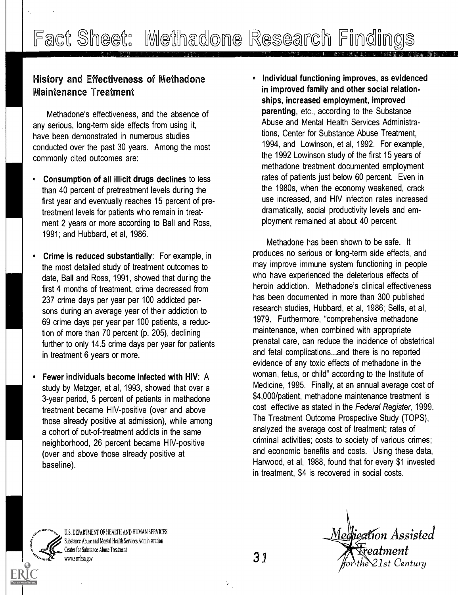## History and Effectiveness of Methadone Maintenance Treatment

Methadone's effectiveness, and the absence of any serious, long-term side effects from using it, have been demonstrated in numerous studies conducted over the past 30 years. Among the most commonly cited outcomes are:

- Consumption of all illicit drugs declines to less  $\bullet$ than 40 percent of pretreatment levels during the first year and eventually reaches 15 percent of pretreatment levels for patients who remain in treatment 2 years or more according to Ball and Ross, 1991; and Hubbard, et al, 1986.
- Crime is reduced substantially: For example, in the most detailed study of treatment outcomes to date, Ball and Ross, 1991, showed that during the first 4 months of treatment, crime decreased from 237 crime days per year per 100 addicted persons during an average year of their addiction to 69 crime days per year per 100 patients, a reduction of more than 70 percent (p. 205), declining further to only 14.5 crime days per year for patients in treatment 6 years or more.
- Fewer individuals become infected with HIV: A study by Metzger, et al, 1993, showed that over a 3-year period, 5 percent of patients in methadone treatment became HIV-positive (over and above those already positive at admission), while among a cohort of out-of-treatment addicts in the same neighborhood, 26 percent became HIV-positive (over and above those already positive at baseline).

• Individual functioning improves, as evidenced in improved family and other social relationships, increased employment, improved parenting, etc., according to the Substance Abuse and Mental Health Services Administrations, Center for Substance Abuse Treatment, 1994, and Lowinson, et al, 1992. For example, the 1992 Lowinson study of the first 15 years of methadone treatment documented employment rates of patients just below 60 percent. Even in the 1980s, when the economy weakened, crack use increased, and HIV infection rates increased dramatically, social productivity levels and employment remained at about 40 percent.

Methadone has been shown to be safe. It produces no serious or long-term side effects, and may improve immune system functioning in people who have experienced the deleterious effects of heroin addiction. Methadone's clinical effectiveness has been documented in more than 300 published research studies, Hubbard, et al, 1986; Sells, et al, 1979. Furthermore, "comprehensive methadone maintenance, when combined with appropriate prenatal care, can reduce the incidence of obstetrical and fetal complications...and there is no reported evidence of any toxic effects of methadone in the woman, fetus, or child" according to the Institute of Medicine, 1995. Finally, at an annual average cost of \$4,000/patient, methadone maintenance treatment is cost effective as stated in the Federal Register, 1999. The Treatment Outcome Prospective Study (TOPS), analyzed the average cost of treatment; rates of criminal activities; costs to society of various crimes; and economic benefits and costs. Using these data, Harwood, et al, 1988, found that for every \$1 invested in treatment, \$4 is recovered in social costs.



U.S. DEPARTMENT OF HEALTH AND HUMAN SERVICES<br>Substance Abuse and Mental Health Services Administration Center for Substance Abuse Treatment<br>
www.samhsa.gov

31

Medication Assisted .<br>Freatment  $2$ 1st Century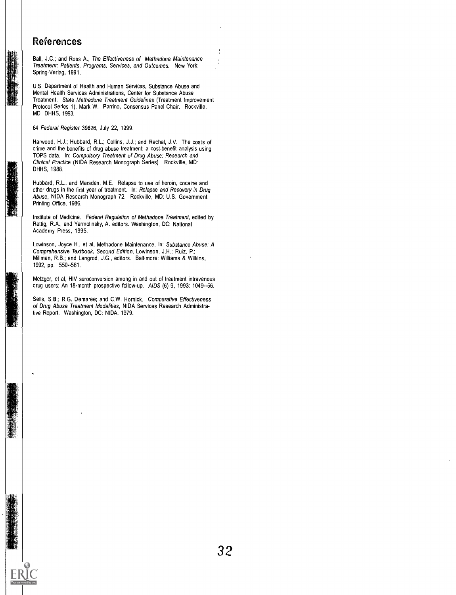#### References

Ball, J.C.; and Ross A., The Effectiveness of Methadone Maintenance Treatment: Patients, Programs, Services, and Outcomes. New York: Spring-Verlag, 1991.

U.S. Department of Health and Human Services, Substance Abuse and Mental Health Services Administrations, Center for Substance Abuse Treatment. State Methadone Treatment Guidelines (Treatment Improvement Protocol Series 1), Mark W. Parrino, Consensus Panel Chair. Rockville, MD DHHS, 1993.

#### 64 Federal Register 39826, July 22, 1999.

Harwood, H.J.; Hubbard, R.L.; Collins, J.J.; and Rachal, J.V. The costs of crime and the benefits of drug abuse treatment: a cost-benefit analysis using TOPS data. In: Compulsory Treatment of Drug Abuse: Research and Clinical Practice (NIDA Research Monograph Series). Rockville, MD: DHHS, 1988.

Hubbard, R.L., and Marsden, M.E. Relapse to use of heroin, cocaine and other drugs in the first year of treatment. In: Relapse and Recovery in Drug Abuse, NIDA Research Monograph 72. Rockville, MD: U.S. Government Printing Office, 1986.

Institute of Medicine. Federal Regulation of Methadone Treatment, edited by Rettig, R.A., and Yarmolinsky, A. editors. Washington, DC: National Academy Press, 1995.

Lowinson, Joyce H., et al, Methadone Maintenance. In: Substance Abuse: A Comprehensive Textbook, Second Edition, Lowinson, J.H.; Ruiz, P.; Millman, R.B.; and Langrod, J.G., editors. Baltimore: Williams & Wilkins, 1992, pp. 550--561.

Metzger, et al, HIV seroconversion among in and out of treatment intravenous drug users: An 18-month prospective follow-up. AIDS (6) 9, 1993: 1049--56.

Sells, S.B.; R.G. Demaree; and C.W. Hornick. Comparative Effectiveness of Drug Abuse Treatment Modalities, NIDA Services Research Administrative Report. Washington, DC: NIDA, 1979.